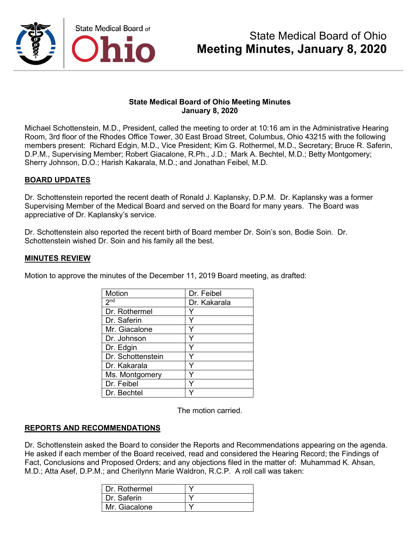

### **State Medical Board of Ohio Meeting Minutes January 8, 2020**

Michael Schottenstein, M.D., President, called the meeting to order at 10:16 am in the Administrative Hearing Room, 3rd floor of the Rhodes Office Tower, 30 East Broad Street, Columbus, Ohio 43215 with the following members present: Richard Edgin, M.D., Vice President; Kim G. Rothermel, M.D., Secretary; Bruce R. Saferin, D.P.M., Supervising Member; Robert Giacalone, R.Ph., J.D.; Mark A. Bechtel, M.D.; Betty Montgomery; Sherry Johnson, D.O.; Harish Kakarala, M.D.; and Jonathan Feibel, M.D.

## **BOARD UPDATES**

Dr. Schottenstein reported the recent death of Ronald J. Kaplansky, D.P.M. Dr. Kaplansky was a former Supervising Member of the Medical Board and served on the Board for many years. The Board was appreciative of Dr. Kaplansky's service.

Dr. Schottenstein also reported the recent birth of Board member Dr. Soin's son, Bodie Soin. Dr. Schottenstein wished Dr. Soin and his family all the best.

### **MINUTES REVIEW**

Motion to approve the minutes of the December 11, 2019 Board meeting, as drafted:

| Motion            | Dr. Feibel   |
|-------------------|--------------|
| 2 <sup>nd</sup>   | Dr. Kakarala |
| Dr. Rothermel     |              |
| Dr. Saferin       |              |
| Mr. Giacalone     | Y            |
| Dr. Johnson       |              |
| Dr. Edgin         | ٧            |
| Dr. Schottenstein |              |
| Dr. Kakarala      |              |
| Ms. Montgomery    |              |
| Dr. Feibel        |              |
| Dr. Bechtel       |              |

The motion carried.

## **REPORTS AND RECOMMENDATIONS**

Dr. Schottenstein asked the Board to consider the Reports and Recommendations appearing on the agenda. He asked if each member of the Board received, read and considered the Hearing Record; the Findings of Fact, Conclusions and Proposed Orders; and any objections filed in the matter of: Muhammad K. Ahsan, M.D.; Atta Asef, D.P.M.; and Cherilynn Marie Waldron, R.C.P. A roll call was taken:

| I Dr. Rothermel |  |
|-----------------|--|
| I Dr. Saferin   |  |
| Mr. Giacalone   |  |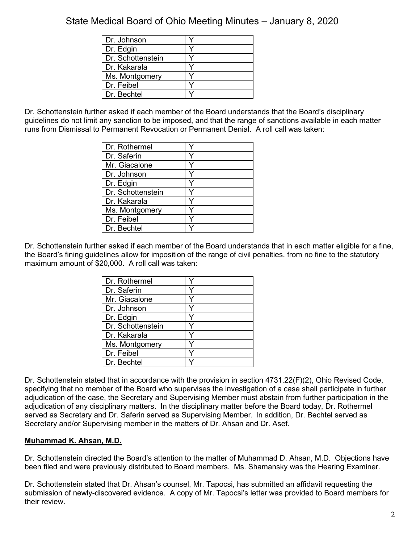| Dr. Johnson       |  |
|-------------------|--|
| Dr. Edgin         |  |
| Dr. Schottenstein |  |
| Dr. Kakarala      |  |
| Ms. Montgomery    |  |
| Dr. Feibel        |  |
| Dr. Bechtel       |  |

Dr. Schottenstein further asked if each member of the Board understands that the Board's disciplinary guidelines do not limit any sanction to be imposed, and that the range of sanctions available in each matter runs from Dismissal to Permanent Revocation or Permanent Denial. A roll call was taken:

| Dr. Rothermel     |  |
|-------------------|--|
| Dr. Saferin       |  |
| Mr. Giacalone     |  |
| Dr. Johnson       |  |
| Dr. Edgin         |  |
| Dr. Schottenstein |  |
| Dr. Kakarala      |  |
| Ms. Montgomery    |  |
| Dr. Feibel        |  |
| Dr. Bechtel       |  |

Dr. Schottenstein further asked if each member of the Board understands that in each matter eligible for a fine, the Board's fining guidelines allow for imposition of the range of civil penalties, from no fine to the statutory maximum amount of \$20,000. A roll call was taken:

| Dr. Rothermel     |  |
|-------------------|--|
| Dr. Saferin       |  |
| Mr. Giacalone     |  |
| Dr. Johnson       |  |
| Dr. Edgin         |  |
| Dr. Schottenstein |  |
| Dr. Kakarala      |  |
| Ms. Montgomery    |  |
| Dr. Feibel        |  |
| Dr. Bechtel       |  |

Dr. Schottenstein stated that in accordance with the provision in section 4731.22(F)(2), Ohio Revised Code, specifying that no member of the Board who supervises the investigation of a case shall participate in further adjudication of the case, the Secretary and Supervising Member must abstain from further participation in the adjudication of any disciplinary matters. In the disciplinary matter before the Board today, Dr. Rothermel served as Secretary and Dr. Saferin served as Supervising Member. In addition, Dr. Bechtel served as Secretary and/or Supervising member in the matters of Dr. Ahsan and Dr. Asef.

## **Muhammad K. Ahsan, M.D.**

Dr. Schottenstein directed the Board's attention to the matter of Muhammad D. Ahsan, M.D. Objections have been filed and were previously distributed to Board members. Ms. Shamansky was the Hearing Examiner.

Dr. Schottenstein stated that Dr. Ahsan's counsel, Mr. Tapocsi, has submitted an affidavit requesting the submission of newly-discovered evidence. A copy of Mr. Tapocsi's letter was provided to Board members for their review.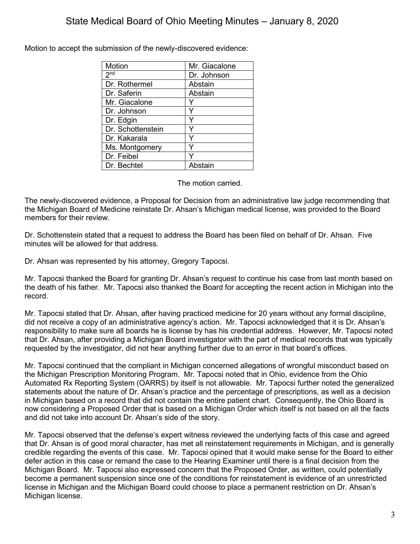Motion to accept the submission of the newly-discovered evidence:

| Motion            | Mr. Giacalone |
|-------------------|---------------|
| 2 <sub>nd</sub>   | Dr. Johnson   |
| Dr. Rothermel     | Abstain       |
| Dr. Saferin       | Abstain       |
| Mr. Giacalone     |               |
| Dr. Johnson       | Y             |
| Dr. Edgin         | Y             |
| Dr. Schottenstein | Y             |
| Dr. Kakarala      | Y             |
| Ms. Montgomery    |               |
| Dr. Feibel        |               |
| Dr. Bechtel       | Abstain       |

The motion carried.

The newly-discovered evidence, a Proposal for Decision from an administrative law judge recommending that the Michigan Board of Medicine reinstate Dr. Ahsan's Michigan medical license, was provided to the Board members for their review.

Dr. Schottenstein stated that a request to address the Board has been filed on behalf of Dr. Ahsan. Five minutes will be allowed for that address.

Dr. Ahsan was represented by his attorney, Gregory Tapocsi.

Mr. Tapocsi thanked the Board for granting Dr. Ahsan's request to continue his case from last month based on the death of his father. Mr. Tapocsi also thanked the Board for accepting the recent action in Michigan into the record.

Mr. Tapocsi stated that Dr. Ahsan, after having practiced medicine for 20 years without any formal discipline, did not receive a copy of an administrative agency's action. Mr. Tapocsi acknowledged that it is Dr. Ahsan's responsibility to make sure all boards he is license by has his credential address. However, Mr. Tapocsi noted that Dr. Ahsan, after providing a Michigan Board investigator with the part of medical records that was typically requested by the investigator, did not hear anything further due to an error in that board's offices.

Mr. Tapocsi continued that the compliant in Michigan concerned allegations of wrongful misconduct based on the Michigan Prescription Monitoring Program. Mr. Tapocsi noted that in Ohio, evidence from the Ohio Automated Rx Reporting System (OARRS) by itself is not allowable. Mr. Tapocsi further noted the generalized statements about the nature of Dr. Ahsan's practice and the percentage of prescriptions, as well as a decision in Michigan based on a record that did not contain the entire patient chart. Consequently, the Ohio Board is now considering a Proposed Order that is based on a Michigan Order which itself is not based on all the facts and did not take into account Dr. Ahsan's side of the story.

Mr. Tapocsi observed that the defense's expert witness reviewed the underlying facts of this case and agreed that Dr. Ahsan is of good moral character, has met all reinstatement requirements in Michigan, and is generally credible regarding the events of this case. Mr. Tapocsi opined that it would make sense for the Board to either defer action in this case or remand the case to the Hearing Examiner until there is a final decision from the Michigan Board. Mr. Tapocsi also expressed concern that the Proposed Order, as written, could potentially become a permanent suspension since one of the conditions for reinstatement is evidence of an unrestricted license in Michigan and the Michigan Board could choose to place a permanent restriction on Dr. Ahsan's Michigan license.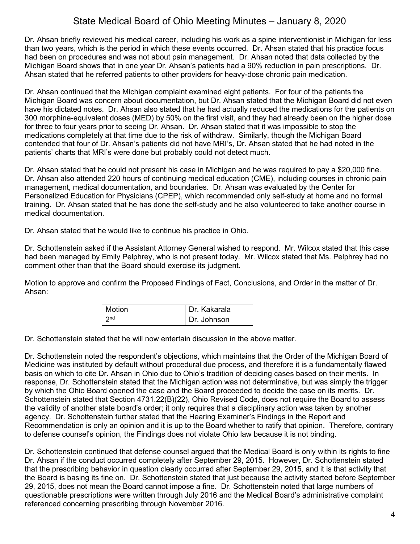Dr. Ahsan briefly reviewed his medical career, including his work as a spine interventionist in Michigan for less than two years, which is the period in which these events occurred. Dr. Ahsan stated that his practice focus had been on procedures and was not about pain management. Dr. Ahsan noted that data collected by the Michigan Board shows that in one year Dr. Ahsan's patients had a 90% reduction in pain prescriptions. Dr. Ahsan stated that he referred patients to other providers for heavy-dose chronic pain medication.

Dr. Ahsan continued that the Michigan complaint examined eight patients. For four of the patients the Michigan Board was concern about documentation, but Dr. Ahsan stated that the Michigan Board did not even have his dictated notes. Dr. Ahsan also stated that he had actually reduced the medications for the patients on 300 morphine-equivalent doses (MED) by 50% on the first visit, and they had already been on the higher dose for three to four years prior to seeing Dr. Ahsan. Dr. Ahsan stated that it was impossible to stop the medications completely at that time due to the risk of withdraw. Similarly, though the Michigan Board contended that four of Dr. Ahsan's patients did not have MRI's, Dr. Ahsan stated that he had noted in the patients' charts that MRI's were done but probably could not detect much.

Dr. Ahsan stated that he could not present his case in Michigan and he was required to pay a \$20,000 fine. Dr. Ahsan also attended 220 hours of continuing medical education (CME), including courses in chronic pain management, medical documentation, and boundaries. Dr. Ahsan was evaluated by the Center for Personalized Education for Physicians (CPEP), which recommended only self-study at home and no formal training. Dr. Ahsan stated that he has done the self-study and he also volunteered to take another course in medical documentation.

Dr. Ahsan stated that he would like to continue his practice in Ohio.

Dr. Schottenstein asked if the Assistant Attorney General wished to respond. Mr. Wilcox stated that this case had been managed by Emily Pelphrey, who is not present today. Mr. Wilcox stated that Ms. Pelphrey had no comment other than that the Board should exercise its judgment.

Motion to approve and confirm the Proposed Findings of Fact, Conclusions, and Order in the matter of Dr. Ahsan:

| <b>Motion</b> | Dr. Kakarala  |
|---------------|---------------|
|               | I Dr. Johnson |

Dr. Schottenstein stated that he will now entertain discussion in the above matter.

Dr. Schottenstein noted the respondent's objections, which maintains that the Order of the Michigan Board of Medicine was instituted by default without procedural due process, and therefore it is a fundamentally flawed basis on which to cite Dr. Ahsan in Ohio due to Ohio's tradition of deciding cases based on their merits. In response, Dr. Schottenstein stated that the Michigan action was not determinative, but was simply the trigger by which the Ohio Board opened the case and the Board proceeded to decide the case on its merits. Dr. Schottenstein stated that Section 4731.22(B)(22), Ohio Revised Code, does not require the Board to assess the validity of another state board's order; it only requires that a disciplinary action was taken by another agency. Dr. Schottenstein further stated that the Hearing Examiner's Findings in the Report and Recommendation is only an opinion and it is up to the Board whether to ratify that opinion. Therefore, contrary to defense counsel's opinion, the Findings does not violate Ohio law because it is not binding.

Dr. Schottenstein continued that defense counsel argued that the Medical Board is only within its rights to fine Dr. Ahsan if the conduct occurred completely after September 29, 2015. However, Dr. Schottenstein stated that the prescribing behavior in question clearly occurred after September 29, 2015, and it is that activity that the Board is basing its fine on. Dr. Schottenstein stated that just because the activity started before September 29, 2015, does not mean the Board cannot impose a fine. Dr. Schottenstein noted that large numbers of questionable prescriptions were written through July 2016 and the Medical Board's administrative complaint referenced concerning prescribing through November 2016.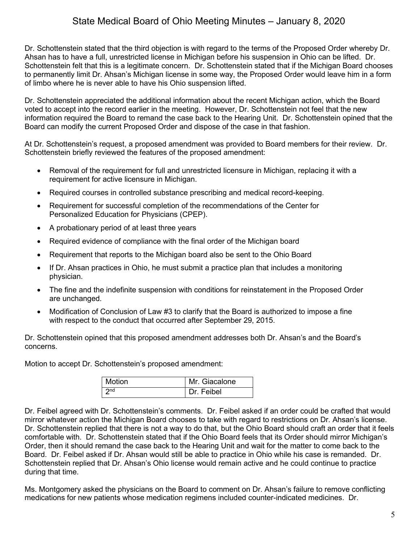Dr. Schottenstein stated that the third objection is with regard to the terms of the Proposed Order whereby Dr. Ahsan has to have a full, unrestricted license in Michigan before his suspension in Ohio can be lifted. Dr. Schottenstein felt that this is a legitimate concern. Dr. Schottenstein stated that if the Michigan Board chooses to permanently limit Dr. Ahsan's Michigan license in some way, the Proposed Order would leave him in a form of limbo where he is never able to have his Ohio suspension lifted.

Dr. Schottenstein appreciated the additional information about the recent Michigan action, which the Board voted to accept into the record earlier in the meeting. However, Dr. Schottenstein not feel that the new information required the Board to remand the case back to the Hearing Unit. Dr. Schottenstein opined that the Board can modify the current Proposed Order and dispose of the case in that fashion.

At Dr. Schottenstein's request, a proposed amendment was provided to Board members for their review. Dr. Schottenstein briefly reviewed the features of the proposed amendment:

- Removal of the requirement for full and unrestricted licensure in Michigan, replacing it with a requirement for active licensure in Michigan.
- Required courses in controlled substance prescribing and medical record-keeping.
- Requirement for successful completion of the recommendations of the Center for Personalized Education for Physicians (CPEP).
- A probationary period of at least three years
- Required evidence of compliance with the final order of the Michigan board
- Requirement that reports to the Michigan board also be sent to the Ohio Board
- If Dr. Ahsan practices in Ohio, he must submit a practice plan that includes a monitoring physician.
- The fine and the indefinite suspension with conditions for reinstatement in the Proposed Order are unchanged.
- Modification of Conclusion of Law #3 to clarify that the Board is authorized to impose a fine with respect to the conduct that occurred after September 29, 2015.

Dr. Schottenstein opined that this proposed amendment addresses both Dr. Ahsan's and the Board's concerns.

Motion to accept Dr. Schottenstein's proposed amendment:

| Motion | Mr. Giacalone |
|--------|---------------|
| $2n$ d | Dr. Feibel    |

Dr. Feibel agreed with Dr. Schottenstein's comments. Dr. Feibel asked if an order could be crafted that would mirror whatever action the Michigan Board chooses to take with regard to restrictions on Dr. Ahsan's license. Dr. Schottenstein replied that there is not a way to do that, but the Ohio Board should craft an order that it feels comfortable with. Dr. Schottenstein stated that if the Ohio Board feels that its Order should mirror Michigan's Order, then it should remand the case back to the Hearing Unit and wait for the matter to come back to the Board. Dr. Feibel asked if Dr. Ahsan would still be able to practice in Ohio while his case is remanded. Dr. Schottenstein replied that Dr. Ahsan's Ohio license would remain active and he could continue to practice during that time.

Ms. Montgomery asked the physicians on the Board to comment on Dr. Ahsan's failure to remove conflicting medications for new patients whose medication regimens included counter-indicated medicines. Dr.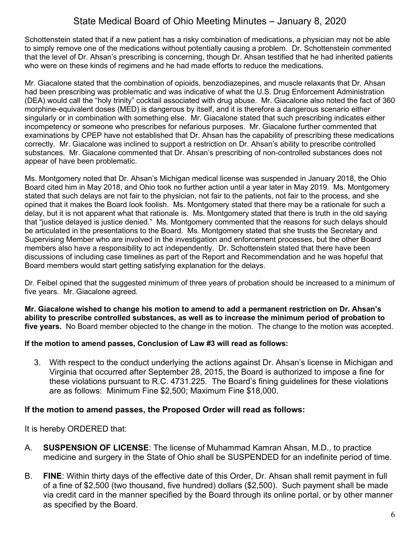Schottenstein stated that if a new patient has a risky combination of medications, a physician may not be able to simply remove one of the medications without potentially causing a problem. Dr. Schottenstein commented that the level of Dr. Ahsan's prescribing is concerning, though Dr. Ahsan testified that he had inherited patients who were on these kinds of regimens and he had made efforts to reduce the medications.

Mr. Giacalone stated that the combination of opioids, benzodiazepines, and muscle relaxants that Dr. Ahsan had been prescribing was problematic and was indicative of what the U.S. Drug Enforcement Administration (DEA) would call the "holy trinity" cocktail associated with drug abuse. Mr. Giacalone also noted the fact of 360 morphine-equivalent doses (MED) is dangerous by itself, and it is therefore a dangerous scenario either singularly or in combination with something else. Mr. Giacalone stated that such prescribing indicates either incompetency or someone who prescribes for nefarious purposes. Mr. Giacalone further commented that examinations by CPEP have not established that Dr. Ahsan has the capability of prescribing these medications correctly. Mr. Giacalone was inclined to support a restriction on Dr. Ahsan's ability to prescribe controlled substances. Mr. Giacalone commented that Dr. Ahsan's prescribing of non-controlled substances does not appear of have been problematic.

Ms. Montgomery noted that Dr. Ahsan's Michigan medical license was suspended in January 2018, the Ohio Board cited him in May 2018, and Ohio took no further action until a year later in May 2019. Ms. Montgomery stated that such delays are not fair to the physician, not fair to the patients, not fair to the process, and she opined that it makes the Board look foolish. Ms. Montgomery stated that there may be a rationale for such a delay, but it is not apparent what that rationale is. Ms. Montgomery stated that there is truth in the old saying that "justice delayed is justice denied." Ms. Montgomery commented that the reasons for such delays should be articulated in the presentations to the Board. Ms. Montgomery stated that she trusts the Secretary and Supervising Member who are involved in the investigation and enforcement processes, but the other Board members also have a responsibility to act independently. Dr. Schottenstein stated that there have been discussions of including case timelines as part of the Report and Recommendation and he was hopeful that Board members would start getting satisfying explanation for the delays.

Dr. Feibel opined that the suggested minimum of three years of probation should be increased to a minimum of five years. Mr. Giacalone agreed.

**Mr. Giacalone wished to change his motion to amend to add a permanent restriction on Dr. Ahsan's ability to prescribe controlled substances, as well as to increase the minimum period of probation to five years.** No Board member objected to the change in the motion. The change to the motion was accepted.

## **If the motion to amend passes, Conclusion of Law #3 will read as follows:**

3. With respect to the conduct underlying the actions against Dr. Ahsan's license in Michigan and Virginia that occurred after September 28, 2015, the Board is authorized to impose a fine for these violations pursuant to R.C. 4731.225. The Board's fining guidelines for these violations are as follows: Minimum Fine \$2,500; Maximum Fine \$18,000.

## **If the motion to amend passes, the Proposed Order will read as follows:**

It is hereby ORDERED that:

- A. **SUSPENSION OF LICENSE**: The license of Muhammad Kamran Ahsan, M.D., to practice medicine and surgery in the State of Ohio shall be SUSPENDED for an indefinite period of time.
- B. **FINE**: Within thirty days of the effective date of this Order, Dr. Ahsan shall remit payment in full of a fine of \$2,500 (two thousand, five hundred) dollars (\$2,500). Such payment shall be made via credit card in the manner specified by the Board through its online portal, or by other manner as specified by the Board.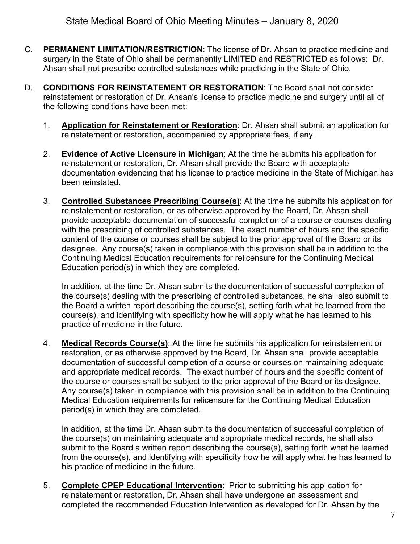- C. **PERMANENT LIMITATION/RESTRICTION**: The license of Dr. Ahsan to practice medicine and surgery in the State of Ohio shall be permanently LIMITED and RESTRICTED as follows: Dr. Ahsan shall not prescribe controlled substances while practicing in the State of Ohio.
- D. **CONDITIONS FOR REINSTATEMENT OR RESTORATION**: The Board shall not consider reinstatement or restoration of Dr. Ahsan's license to practice medicine and surgery until all of the following conditions have been met:
	- 1. **Application for Reinstatement or Restoration**: Dr. Ahsan shall submit an application for reinstatement or restoration, accompanied by appropriate fees, if any.
	- 2. **Evidence of Active Licensure in Michigan**: At the time he submits his application for reinstatement or restoration, Dr. Ahsan shall provide the Board with acceptable documentation evidencing that his license to practice medicine in the State of Michigan has been reinstated.
	- 3. **Controlled Substances Prescribing Course(s)**: At the time he submits his application for reinstatement or restoration, or as otherwise approved by the Board, Dr. Ahsan shall provide acceptable documentation of successful completion of a course or courses dealing with the prescribing of controlled substances. The exact number of hours and the specific content of the course or courses shall be subject to the prior approval of the Board or its designee. Any course(s) taken in compliance with this provision shall be in addition to the Continuing Medical Education requirements for relicensure for the Continuing Medical Education period(s) in which they are completed.

In addition, at the time Dr. Ahsan submits the documentation of successful completion of the course(s) dealing with the prescribing of controlled substances, he shall also submit to the Board a written report describing the course(s), setting forth what he learned from the course(s), and identifying with specificity how he will apply what he has learned to his practice of medicine in the future.

4. **Medical Records Course(s)**: At the time he submits his application for reinstatement or restoration, or as otherwise approved by the Board, Dr. Ahsan shall provide acceptable documentation of successful completion of a course or courses on maintaining adequate and appropriate medical records. The exact number of hours and the specific content of the course or courses shall be subject to the prior approval of the Board or its designee. Any course(s) taken in compliance with this provision shall be in addition to the Continuing Medical Education requirements for relicensure for the Continuing Medical Education period(s) in which they are completed.

In addition, at the time Dr. Ahsan submits the documentation of successful completion of the course(s) on maintaining adequate and appropriate medical records, he shall also submit to the Board a written report describing the course(s), setting forth what he learned from the course(s), and identifying with specificity how he will apply what he has learned to his practice of medicine in the future.

5. **Complete CPEP Educational Intervention**: Prior to submitting his application for reinstatement or restoration, Dr. Ahsan shall have undergone an assessment and completed the recommended Education Intervention as developed for Dr. Ahsan by the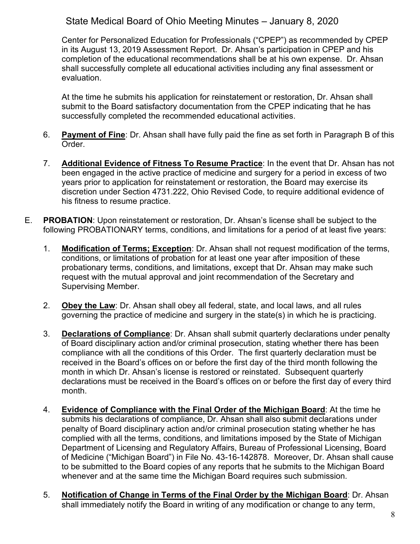Center for Personalized Education for Professionals ("CPEP") as recommended by CPEP in its August 13, 2019 Assessment Report. Dr. Ahsan's participation in CPEP and his completion of the educational recommendations shall be at his own expense. Dr. Ahsan shall successfully complete all educational activities including any final assessment or evaluation.

At the time he submits his application for reinstatement or restoration, Dr. Ahsan shall submit to the Board satisfactory documentation from the CPEP indicating that he has successfully completed the recommended educational activities.

- 6. **Payment of Fine**: Dr. Ahsan shall have fully paid the fine as set forth in Paragraph B of this Order.
- 7. **Additional Evidence of Fitness To Resume Practice**: In the event that Dr. Ahsan has not been engaged in the active practice of medicine and surgery for a period in excess of two years prior to application for reinstatement or restoration, the Board may exercise its discretion under Section 4731.222, Ohio Revised Code, to require additional evidence of his fitness to resume practice.
- E. **PROBATION**: Upon reinstatement or restoration, Dr. Ahsan's license shall be subject to the following PROBATIONARY terms, conditions, and limitations for a period of at least five years:
	- 1. **Modification of Terms; Exception**: Dr. Ahsan shall not request modification of the terms, conditions, or limitations of probation for at least one year after imposition of these probationary terms, conditions, and limitations, except that Dr. Ahsan may make such request with the mutual approval and joint recommendation of the Secretary and Supervising Member.
	- 2. **Obey the Law**: Dr. Ahsan shall obey all federal, state, and local laws, and all rules governing the practice of medicine and surgery in the state(s) in which he is practicing.
	- 3. **Declarations of Compliance**: Dr. Ahsan shall submit quarterly declarations under penalty of Board disciplinary action and/or criminal prosecution, stating whether there has been compliance with all the conditions of this Order. The first quarterly declaration must be received in the Board's offices on or before the first day of the third month following the month in which Dr. Ahsan's license is restored or reinstated. Subsequent quarterly declarations must be received in the Board's offices on or before the first day of every third month.
	- 4. **Evidence of Compliance with the Final Order of the Michigan Board**: At the time he submits his declarations of compliance, Dr. Ahsan shall also submit declarations under penalty of Board disciplinary action and/or criminal prosecution stating whether he has complied with all the terms, conditions, and limitations imposed by the State of Michigan Department of Licensing and Regulatory Affairs, Bureau of Professional Licensing, Board of Medicine ("Michigan Board") in File No. 43-16-142878. Moreover, Dr. Ahsan shall cause to be submitted to the Board copies of any reports that he submits to the Michigan Board whenever and at the same time the Michigan Board requires such submission.
	- 5. **Notification of Change in Terms of the Final Order by the Michigan Board**: Dr. Ahsan shall immediately notify the Board in writing of any modification or change to any term,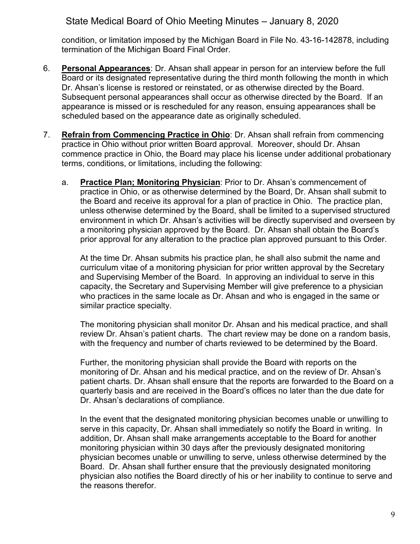condition, or limitation imposed by the Michigan Board in File No. 43-16-142878, including termination of the Michigan Board Final Order.

- 6. **Personal Appearances**: Dr. Ahsan shall appear in person for an interview before the full Board or its designated representative during the third month following the month in which Dr. Ahsan's license is restored or reinstated, or as otherwise directed by the Board. Subsequent personal appearances shall occur as otherwise directed by the Board. If an appearance is missed or is rescheduled for any reason, ensuing appearances shall be scheduled based on the appearance date as originally scheduled.
- 7. **Refrain from Commencing Practice in Ohio**: Dr. Ahsan shall refrain from commencing practice in Ohio without prior written Board approval. Moreover, should Dr. Ahsan commence practice in Ohio, the Board may place his license under additional probationary terms, conditions, or limitations, including the following:
	- a. **Practice Plan; Monitoring Physician**: Prior to Dr. Ahsan's commencement of practice in Ohio, or as otherwise determined by the Board, Dr. Ahsan shall submit to the Board and receive its approval for a plan of practice in Ohio. The practice plan, unless otherwise determined by the Board, shall be limited to a supervised structured environment in which Dr. Ahsan's activities will be directly supervised and overseen by a monitoring physician approved by the Board. Dr. Ahsan shall obtain the Board's prior approval for any alteration to the practice plan approved pursuant to this Order.

At the time Dr. Ahsan submits his practice plan, he shall also submit the name and curriculum vitae of a monitoring physician for prior written approval by the Secretary and Supervising Member of the Board. In approving an individual to serve in this capacity, the Secretary and Supervising Member will give preference to a physician who practices in the same locale as Dr. Ahsan and who is engaged in the same or similar practice specialty.

The monitoring physician shall monitor Dr. Ahsan and his medical practice, and shall review Dr. Ahsan's patient charts. The chart review may be done on a random basis, with the frequency and number of charts reviewed to be determined by the Board.

Further, the monitoring physician shall provide the Board with reports on the monitoring of Dr. Ahsan and his medical practice, and on the review of Dr. Ahsan's patient charts. Dr. Ahsan shall ensure that the reports are forwarded to the Board on a quarterly basis and are received in the Board's offices no later than the due date for Dr. Ahsan's declarations of compliance.

In the event that the designated monitoring physician becomes unable or unwilling to serve in this capacity, Dr. Ahsan shall immediately so notify the Board in writing. In addition, Dr. Ahsan shall make arrangements acceptable to the Board for another monitoring physician within 30 days after the previously designated monitoring physician becomes unable or unwilling to serve, unless otherwise determined by the Board. Dr. Ahsan shall further ensure that the previously designated monitoring physician also notifies the Board directly of his or her inability to continue to serve and the reasons therefor.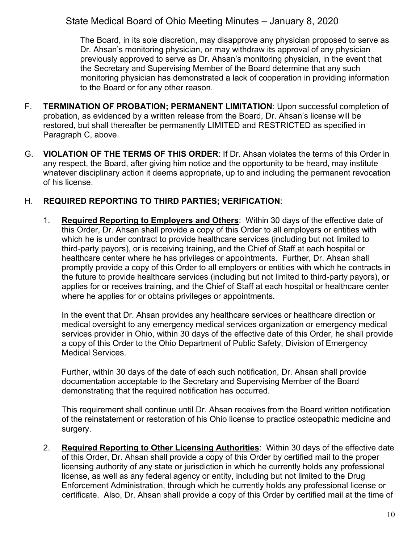The Board, in its sole discretion, may disapprove any physician proposed to serve as Dr. Ahsan's monitoring physician, or may withdraw its approval of any physician previously approved to serve as Dr. Ahsan's monitoring physician, in the event that the Secretary and Supervising Member of the Board determine that any such monitoring physician has demonstrated a lack of cooperation in providing information to the Board or for any other reason.

- F. **TERMINATION OF PROBATION; PERMANENT LIMITATION**: Upon successful completion of probation, as evidenced by a written release from the Board, Dr. Ahsan's license will be restored, but shall thereafter be permanently LIMITED and RESTRICTED as specified in Paragraph C, above.
- G. **VIOLATION OF THE TERMS OF THIS ORDER**: If Dr. Ahsan violates the terms of this Order in any respect, the Board, after giving him notice and the opportunity to be heard, may institute whatever disciplinary action it deems appropriate, up to and including the permanent revocation of his license.

## H. **REQUIRED REPORTING TO THIRD PARTIES; VERIFICATION**:

1. **Required Reporting to Employers and Others**: Within 30 days of the effective date of this Order, Dr. Ahsan shall provide a copy of this Order to all employers or entities with which he is under contract to provide healthcare services (including but not limited to third-party payors), or is receiving training, and the Chief of Staff at each hospital or healthcare center where he has privileges or appointments. Further, Dr. Ahsan shall promptly provide a copy of this Order to all employers or entities with which he contracts in the future to provide healthcare services (including but not limited to third-party payors), or applies for or receives training, and the Chief of Staff at each hospital or healthcare center where he applies for or obtains privileges or appointments.

In the event that Dr. Ahsan provides any healthcare services or healthcare direction or medical oversight to any emergency medical services organization or emergency medical services provider in Ohio, within 30 days of the effective date of this Order, he shall provide a copy of this Order to the Ohio Department of Public Safety, Division of Emergency Medical Services.

Further, within 30 days of the date of each such notification, Dr. Ahsan shall provide documentation acceptable to the Secretary and Supervising Member of the Board demonstrating that the required notification has occurred.

This requirement shall continue until Dr. Ahsan receives from the Board written notification of the reinstatement or restoration of his Ohio license to practice osteopathic medicine and surgery.

2. **Required Reporting to Other Licensing Authorities**: Within 30 days of the effective date of this Order, Dr. Ahsan shall provide a copy of this Order by certified mail to the proper licensing authority of any state or jurisdiction in which he currently holds any professional license, as well as any federal agency or entity, including but not limited to the Drug Enforcement Administration, through which he currently holds any professional license or certificate. Also, Dr. Ahsan shall provide a copy of this Order by certified mail at the time of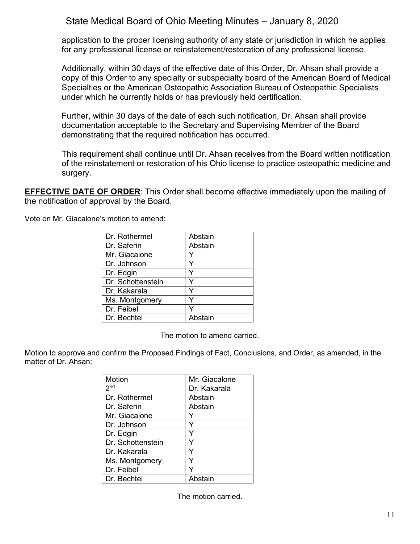application to the proper licensing authority of any state or jurisdiction in which he applies for any professional license or reinstatement/restoration of any professional license.

Additionally, within 30 days of the effective date of this Order, Dr. Ahsan shall provide a copy of this Order to any specialty or subspecialty board of the American Board of Medical Specialties or the American Osteopathic Association Bureau of Osteopathic Specialists under which he currently holds or has previously held certification.

Further, within 30 days of the date of each such notification, Dr. Ahsan shall provide documentation acceptable to the Secretary and Supervising Member of the Board demonstrating that the required notification has occurred.

This requirement shall continue until Dr. Ahsan receives from the Board written notification of the reinstatement or restoration of his Ohio license to practice osteopathic medicine and surgery.

**EFFECTIVE DATE OF ORDER:** This Order shall become effective immediately upon the mailing of the notification of approval by the Board.

> Dr. Rothermel | Abstain Dr. Saferin | Abstain Mr. Giacalone | Y Dr. Johnson Y Dr. Edgin Y Dr. Schottenstein | Y Dr. Kakarala Y Ms. Montgomery Dr. Feibel Y Dr. Bechtel | Abstain

Vote on Mr. Giacalone's motion to amend:

The motion to amend carried.

Motion to approve and confirm the Proposed Findings of Fact, Conclusions, and Order, as amended, in the matter of Dr. Ahsan:

| Motion            | Mr. Giacalone |
|-------------------|---------------|
| 2 <sub>nd</sub>   | Dr. Kakarala  |
| Dr. Rothermel     | Abstain       |
| Dr. Saferin       | Abstain       |
| Mr. Giacalone     |               |
| Dr. Johnson       | Y             |
| Dr. Edgin         | Y             |
| Dr. Schottenstein | ٧             |
| Dr. Kakarala      | Y             |
| Ms. Montgomery    | Y             |
| Dr. Feibel        | v             |
| Dr. Bechtel       | Abstain       |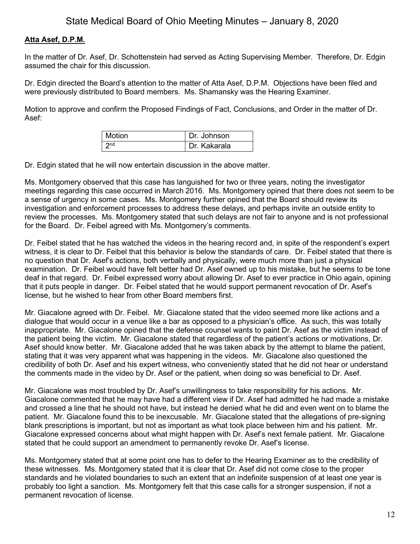## **Atta Asef, D.P.M.**

In the matter of Dr. Asef, Dr. Schottenstein had served as Acting Supervising Member. Therefore, Dr. Edgin assumed the chair for this discussion.

Dr. Edgin directed the Board's attention to the matter of Atta Asef, D.P.M. Objections have been filed and were previously distributed to Board members. Ms. Shamansky was the Hearing Examiner.

Motion to approve and confirm the Proposed Findings of Fact, Conclusions, and Order in the matter of Dr. Asef:

| Motion | Dr. Johnson  |
|--------|--------------|
|        | Dr. Kakarala |

Dr. Edgin stated that he will now entertain discussion in the above matter.

Ms. Montgomery observed that this case has languished for two or three years, noting the investigator meetings regarding this case occurred in March 2016. Ms. Montgomery opined that there does not seem to be a sense of urgency in some cases. Ms. Montgomery further opined that the Board should review its investigation and enforcement processes to address these delays, and perhaps invite an outside entity to review the processes. Ms. Montgomery stated that such delays are not fair to anyone and is not professional for the Board. Dr. Feibel agreed with Ms. Montgomery's comments.

Dr. Feibel stated that he has watched the videos in the hearing record and, in spite of the respondent's expert witness, it is clear to Dr. Feibel that this behavior is below the standards of care. Dr. Feibel stated that there is no question that Dr. Asef's actions, both verbally and physically, were much more than just a physical examination. Dr. Feibel would have felt better had Dr. Asef owned up to his mistake, but he seems to be tone deaf in that regard. Dr. Feibel expressed worry about allowing Dr. Asef to ever practice in Ohio again, opining that it puts people in danger. Dr. Feibel stated that he would support permanent revocation of Dr. Asef's license, but he wished to hear from other Board members first.

Mr. Giacalone agreed with Dr. Feibel. Mr. Giacalone stated that the video seemed more like actions and a dialogue that would occur in a venue like a bar as opposed to a physician's office. As such, this was totally inappropriate. Mr. Giacalone opined that the defense counsel wants to paint Dr. Asef as the victim instead of the patient being the victim. Mr. Giacalone stated that regardless of the patient's actions or motivations, Dr. Asef should know better. Mr. Giacalone added that he was taken aback by the attempt to blame the patient, stating that it was very apparent what was happening in the videos. Mr. Giacalone also questioned the credibility of both Dr. Asef and his expert witness, who conveniently stated that he did not hear or understand the comments made in the video by Dr. Asef or the patient, when doing so was beneficial to Dr. Asef.

Mr. Giacalone was most troubled by Dr. Asef's unwillingness to take responsibility for his actions. Mr. Giacalone commented that he may have had a different view if Dr. Asef had admitted he had made a mistake and crossed a line that he should not have, but instead he denied what he did and even went on to blame the patient. Mr. Giacalone found this to be inexcusable. Mr. Giacalone stated that the allegations of pre-signing blank prescriptions is important, but not as important as what took place between him and his patient. Mr. Giacalone expressed concerns about what might happen with Dr. Asef's next female patient. Mr. Giacalone stated that he could support an amendment to permanently revoke Dr. Asef's license.

Ms. Montgomery stated that at some point one has to defer to the Hearing Examiner as to the credibility of these witnesses. Ms. Montgomery stated that it is clear that Dr. Asef did not come close to the proper standards and he violated boundaries to such an extent that an indefinite suspension of at least one year is probably too light a sanction. Ms. Montgomery felt that this case calls for a stronger suspension, if not a permanent revocation of license.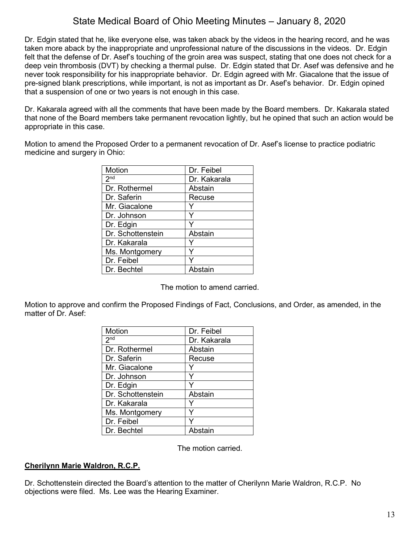Dr. Edgin stated that he, like everyone else, was taken aback by the videos in the hearing record, and he was taken more aback by the inappropriate and unprofessional nature of the discussions in the videos. Dr. Edgin felt that the defense of Dr. Asef's touching of the groin area was suspect, stating that one does not check for a deep vein thrombosis (DVT) by checking a thermal pulse. Dr. Edgin stated that Dr. Asef was defensive and he never took responsibility for his inappropriate behavior. Dr. Edgin agreed with Mr. Giacalone that the issue of pre-signed blank prescriptions, while important, is not as important as Dr. Asef's behavior. Dr. Edgin opined that a suspension of one or two years is not enough in this case.

Dr. Kakarala agreed with all the comments that have been made by the Board members. Dr. Kakarala stated that none of the Board members take permanent revocation lightly, but he opined that such an action would be appropriate in this case.

Motion to amend the Proposed Order to a permanent revocation of Dr. Asef's license to practice podiatric medicine and surgery in Ohio:

| Motion            | Dr. Feibel   |
|-------------------|--------------|
| 2 <sup>nd</sup>   | Dr. Kakarala |
| Dr. Rothermel     | Abstain      |
| Dr. Saferin       | Recuse       |
| Mr. Giacalone     |              |
| Dr. Johnson       | Y            |
| Dr. Edgin         |              |
| Dr. Schottenstein | Abstain      |
| Dr. Kakarala      |              |
| Ms. Montgomery    |              |
| Dr. Feibel        |              |
| Dr. Bechtel       | Abstain      |
|                   |              |

The motion to amend carried.

Motion to approve and confirm the Proposed Findings of Fact, Conclusions, and Order, as amended, in the matter of Dr. Asef:

| Motion            | Dr. Feibel   |
|-------------------|--------------|
| 2 <sup>nd</sup>   | Dr. Kakarala |
| Dr. Rothermel     | Abstain      |
| Dr. Saferin       | Recuse       |
| Mr. Giacalone     |              |
| Dr. Johnson       |              |
| Dr. Edgin         |              |
| Dr. Schottenstein | Abstain      |
| Dr. Kakarala      |              |
| Ms. Montgomery    |              |
| Dr. Feibel        |              |
| Dr. Bechtel       | Abstain      |

The motion carried.

## **Cherilynn Marie Waldron, R.C.P.**

Dr. Schottenstein directed the Board's attention to the matter of Cherilynn Marie Waldron, R.C.P. No objections were filed. Ms. Lee was the Hearing Examiner.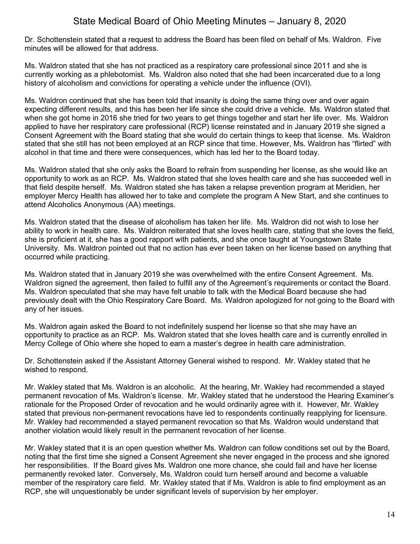Dr. Schottenstein stated that a request to address the Board has been filed on behalf of Ms. Waldron. Five minutes will be allowed for that address.

Ms. Waldron stated that she has not practiced as a respiratory care professional since 2011 and she is currently working as a phlebotomist. Ms. Waldron also noted that she had been incarcerated due to a long history of alcoholism and convictions for operating a vehicle under the influence (OVI).

Ms. Waldron continued that she has been told that insanity is doing the same thing over and over again expecting different results, and this has been her life since she could drive a vehicle. Ms. Waldron stated that when she got home in 2016 she tried for two years to get things together and start her life over. Ms. Waldron applied to have her respiratory care professional (RCP) license reinstated and in January 2019 she signed a Consent Agreement with the Board stating that she would do certain things to keep that license. Ms. Waldron stated that she still has not been employed at an RCP since that time. However, Ms. Waldron has "flirted" with alcohol in that time and there were consequences, which has led her to the Board today.

Ms. Waldron stated that she only asks the Board to refrain from suspending her license, as she would like an opportunity to work as an RCP. Ms. Waldron stated that she loves health care and she has succeeded well in that field despite herself. Ms. Waldron stated she has taken a relapse prevention program at Meridien, her employer Mercy Health has allowed her to take and complete the program A New Start, and she continues to attend Alcoholics Anonymous (AA) meetings.

Ms. Waldron stated that the disease of alcoholism has taken her life. Ms. Waldron did not wish to lose her ability to work in health care. Ms. Waldron reiterated that she loves health care, stating that she loves the field, she is proficient at it, she has a good rapport with patients, and she once taught at Youngstown State University. Ms. Waldron pointed out that no action has ever been taken on her license based on anything that occurred while practicing.

Ms. Waldron stated that in January 2019 she was overwhelmed with the entire Consent Agreement. Ms. Waldron signed the agreement, then failed to fulfill any of the Agreement's requirements or contact the Board. Ms. Waldron speculated that she may have felt unable to talk with the Medical Board because she had previously dealt with the Ohio Respiratory Care Board. Ms. Waldron apologized for not going to the Board with any of her issues.

Ms. Waldron again asked the Board to not indefinitely suspend her license so that she may have an opportunity to practice as an RCP. Ms. Waldron stated that she loves health care and is currently enrolled in Mercy College of Ohio where she hoped to earn a master's degree in health care administration.

Dr. Schottenstein asked if the Assistant Attorney General wished to respond. Mr. Wakley stated that he wished to respond.

Mr. Wakley stated that Ms. Waldron is an alcoholic. At the hearing, Mr. Wakley had recommended a stayed permanent revocation of Ms. Waldron's license. Mr. Wakley stated that he understood the Hearing Examiner's rationale for the Proposed Order of revocation and he would ordinarily agree with it. However, Mr. Wakley stated that previous non-permanent revocations have led to respondents continually reapplying for licensure. Mr. Wakley had recommended a stayed permanent revocation so that Ms. Waldron would understand that another violation would likely result in the permanent revocation of her license.

Mr. Wakley stated that it is an open question whether Ms. Waldron can follow conditions set out by the Board, noting that the first time she signed a Consent Agreement she never engaged in the process and she ignored her responsibilities. If the Board gives Ms. Waldron one more chance, she could fail and have her license permanently revoked later. Conversely, Ms. Waldron could turn herself around and become a valuable member of the respiratory care field. Mr. Wakley stated that if Ms. Waldron is able to find employment as an RCP, she will unquestionably be under significant levels of supervision by her employer.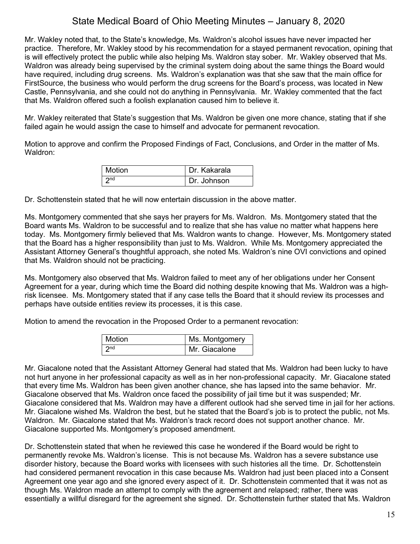Mr. Wakley noted that, to the State's knowledge, Ms. Waldron's alcohol issues have never impacted her practice. Therefore, Mr. Wakley stood by his recommendation for a stayed permanent revocation, opining that is will effectively protect the public while also helping Ms. Waldron stay sober. Mr. Wakley observed that Ms. Waldron was already being supervised by the criminal system doing about the same things the Board would have required, including drug screens. Ms. Waldron's explanation was that she saw that the main office for FirstSource, the business who would perform the drug screens for the Board's process, was located in New Castle, Pennsylvania, and she could not do anything in Pennsylvania. Mr. Wakley commented that the fact that Ms. Waldron offered such a foolish explanation caused him to believe it.

Mr. Wakley reiterated that State's suggestion that Ms. Waldron be given one more chance, stating that if she failed again he would assign the case to himself and advocate for permanent revocation.

Motion to approve and confirm the Proposed Findings of Fact, Conclusions, and Order in the matter of Ms. Waldron:

| l Motion | Dr. Kakarala |
|----------|--------------|
| ∣ ond    | Dr. Johnson  |

Dr. Schottenstein stated that he will now entertain discussion in the above matter.

Ms. Montgomery commented that she says her prayers for Ms. Waldron. Ms. Montgomery stated that the Board wants Ms. Waldron to be successful and to realize that she has value no matter what happens here today. Ms. Montgomery firmly believed that Ms. Waldron wants to change. However, Ms. Montgomery stated that the Board has a higher responsibility than just to Ms. Waldron. While Ms. Montgomery appreciated the Assistant Attorney General's thoughtful approach, she noted Ms. Waldron's nine OVI convictions and opined that Ms. Waldron should not be practicing.

Ms. Montgomery also observed that Ms. Waldron failed to meet any of her obligations under her Consent Agreement for a year, during which time the Board did nothing despite knowing that Ms. Waldron was a highrisk licensee. Ms. Montgomery stated that if any case tells the Board that it should review its processes and perhaps have outside entities review its processes, it is this case.

Motion to amend the revocation in the Proposed Order to a permanent revocation:

| <b>Motion</b>   | Ms. Montgomery |
|-----------------|----------------|
| 2n <sub>d</sub> | Mr. Giacalone  |

Mr. Giacalone noted that the Assistant Attorney General had stated that Ms. Waldron had been lucky to have not hurt anyone in her professional capacity as well as in her non-professional capacity. Mr. Giacalone stated that every time Ms. Waldron has been given another chance, she has lapsed into the same behavior. Mr. Giacalone observed that Ms. Waldron once faced the possibility of jail time but it was suspended; Mr. Giacalone considered that Ms. Waldron may have a different outlook had she served time in jail for her actions. Mr. Giacalone wished Ms. Waldron the best, but he stated that the Board's job is to protect the public, not Ms. Waldron. Mr. Giacalone stated that Ms. Waldron's track record does not support another chance. Mr. Giacalone supported Ms. Montgomery's proposed amendment.

Dr. Schottenstein stated that when he reviewed this case he wondered if the Board would be right to permanently revoke Ms. Waldron's license. This is not because Ms. Waldron has a severe substance use disorder history, because the Board works with licensees with such histories all the time. Dr. Schottenstein had considered permanent revocation in this case because Ms. Waldron had just been placed into a Consent Agreement one year ago and she ignored every aspect of it. Dr. Schottenstein commented that it was not as though Ms. Waldron made an attempt to comply with the agreement and relapsed; rather, there was essentially a willful disregard for the agreement she signed. Dr. Schottenstein further stated that Ms. Waldron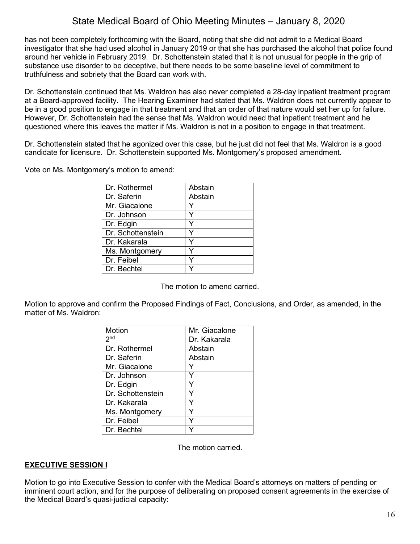has not been completely forthcoming with the Board, noting that she did not admit to a Medical Board investigator that she had used alcohol in January 2019 or that she has purchased the alcohol that police found around her vehicle in February 2019. Dr. Schottenstein stated that it is not unusual for people in the grip of substance use disorder to be deceptive, but there needs to be some baseline level of commitment to truthfulness and sobriety that the Board can work with.

Dr. Schottenstein continued that Ms. Waldron has also never completed a 28-day inpatient treatment program at a Board-approved facility. The Hearing Examiner had stated that Ms. Waldron does not currently appear to be in a good position to engage in that treatment and that an order of that nature would set her up for failure. However, Dr. Schottenstein had the sense that Ms. Waldron would need that inpatient treatment and he questioned where this leaves the matter if Ms. Waldron is not in a position to engage in that treatment.

Dr. Schottenstein stated that he agonized over this case, but he just did not feel that Ms. Waldron is a good candidate for licensure. Dr. Schottenstein supported Ms. Montgomery's proposed amendment.

Vote on Ms. Montgomery's motion to amend:

| Dr. Rothermel     | Abstain |
|-------------------|---------|
| Dr. Saferin       | Abstain |
| Mr. Giacalone     |         |
| Dr. Johnson       |         |
| Dr. Edgin         |         |
| Dr. Schottenstein |         |
| Dr. Kakarala      |         |
| Ms. Montgomery    |         |
| Dr. Feibel        |         |
| Dr. Bechtel       |         |

The motion to amend carried.

Motion to approve and confirm the Proposed Findings of Fact, Conclusions, and Order, as amended, in the matter of Ms. Waldron:

| Motion            | Mr. Giacalone |
|-------------------|---------------|
| 2 <sup>nd</sup>   | Dr. Kakarala  |
| Dr. Rothermel     | Abstain       |
| Dr. Saferin       | Abstain       |
| Mr. Giacalone     |               |
| Dr. Johnson       |               |
| Dr. Edgin         | ٧             |
| Dr. Schottenstein | Υ             |
| Dr. Kakarala      | ٧             |
| Ms. Montgomery    | Y             |
| Dr. Feibel        | ٧             |
| Dr. Bechtel       |               |

The motion carried.

## **EXECUTIVE SESSION I**

Motion to go into Executive Session to confer with the Medical Board's attorneys on matters of pending or imminent court action, and for the purpose of deliberating on proposed consent agreements in the exercise of the Medical Board's quasi-judicial capacity: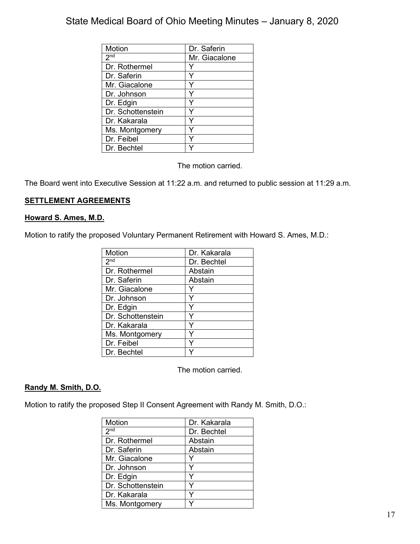| Motion            | Dr. Saferin   |
|-------------------|---------------|
| 2 <sub>nd</sub>   | Mr. Giacalone |
| Dr. Rothermel     |               |
| Dr. Saferin       |               |
| Mr. Giacalone     |               |
| Dr. Johnson       |               |
| Dr. Edgin         |               |
| Dr. Schottenstein |               |
| Dr. Kakarala      | Y             |
| Ms. Montgomery    | Y             |
| Dr. Feibel        | Y             |
| Dr. Bechtel       |               |

The motion carried.

The Board went into Executive Session at 11:22 a.m. and returned to public session at 11:29 a.m.

## **SETTLEMENT AGREEMENTS**

### **Howard S. Ames, M.D.**

Motion to ratify the proposed Voluntary Permanent Retirement with Howard S. Ames, M.D.:

| <b>Motion</b>     | Dr. Kakarala |
|-------------------|--------------|
| 2 <sub>nd</sub>   | Dr. Bechtel  |
| Dr. Rothermel     | Abstain      |
| Dr. Saferin       | Abstain      |
| Mr. Giacalone     |              |
| Dr. Johnson       |              |
| Dr. Edgin         |              |
| Dr. Schottenstein |              |
| Dr. Kakarala      | Y            |
| Ms. Montgomery    |              |
| Dr. Feibel        | Y            |
| Dr. Bechtel       |              |

The motion carried.

## **Randy M. Smith, D.O.**

Motion to ratify the proposed Step II Consent Agreement with Randy M. Smith, D.O.:

| Motion            | Dr. Kakarala |
|-------------------|--------------|
| 2 <sup>nd</sup>   | Dr. Bechtel  |
| Dr. Rothermel     | Abstain      |
| Dr. Saferin       | Abstain      |
| Mr. Giacalone     |              |
| Dr. Johnson       | v            |
| Dr. Edgin         |              |
| Dr. Schottenstein |              |
| Dr. Kakarala      |              |
| Ms. Montgomery    |              |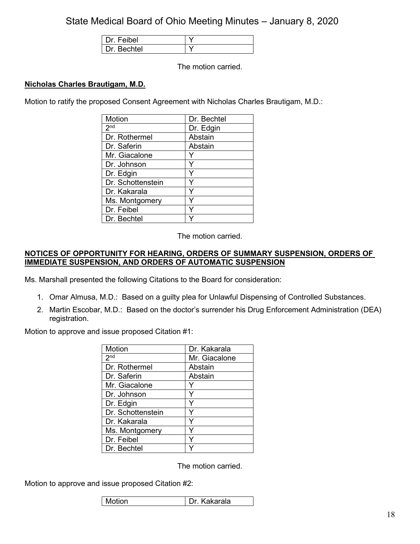| Dr. Feibel |  |
|------------|--|
| Dr Bechtel |  |

The motion carried.

## **Nicholas Charles Brautigam, M.D.**

Motion to ratify the proposed Consent Agreement with Nicholas Charles Brautigam, M.D.:

| Motion            | Dr. Bechtel |
|-------------------|-------------|
| 2 <sub>nd</sub>   | Dr. Edgin   |
| Dr. Rothermel     | Abstain     |
| Dr. Saferin       | Abstain     |
| Mr. Giacalone     |             |
| Dr. Johnson       |             |
| Dr. Edgin         | Y           |
| Dr. Schottenstein | Y           |
| Dr. Kakarala      | Y           |
| Ms. Montgomery    |             |
| Dr. Feibel        |             |
| Dr. Bechtel       |             |

The motion carried.

### **NOTICES OF OPPORTUNITY FOR HEARING, ORDERS OF SUMMARY SUSPENSION, ORDERS OF IMMEDIATE SUSPENSION, AND ORDERS OF AUTOMATIC SUSPENSION**

Ms. Marshall presented the following Citations to the Board for consideration:

- 1. Omar Almusa, M.D.: Based on a guilty plea for Unlawful Dispensing of Controlled Substances.
- 2. Martin Escobar, M.D.: Based on the doctor's surrender his Drug Enforcement Administration (DEA) registration.

Motion to approve and issue proposed Citation #1:

| Motion            | Dr. Kakarala  |
|-------------------|---------------|
| 2 <sup>nd</sup>   | Mr. Giacalone |
| Dr. Rothermel     | Abstain       |
| Dr. Saferin       | Abstain       |
| Mr. Giacalone     |               |
| Dr. Johnson       | Y             |
| Dr. Edgin         | Y             |
| Dr. Schottenstein |               |
| Dr. Kakarala      |               |
| Ms. Montgomery    |               |
| Dr. Feibel        | ٧             |
| Dr. Bechtel       |               |

The motion carried.

Motion to approve and issue proposed Citation #2:

| Motion | Kakarala<br>Dr. |
|--------|-----------------|
|--------|-----------------|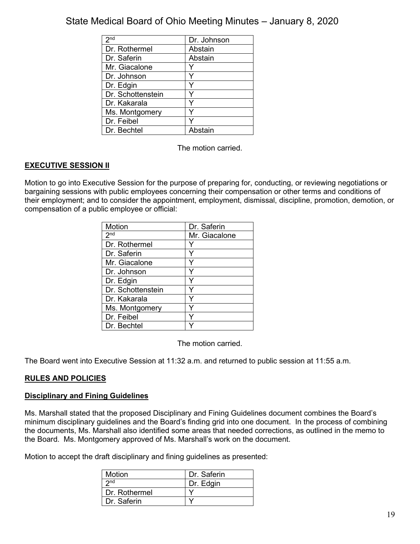| $2n\overline{d}$  | Dr. Johnson |
|-------------------|-------------|
| Dr. Rothermel     | Abstain     |
| Dr. Saferin       | Abstain     |
| Mr. Giacalone     |             |
| Dr. Johnson       |             |
| Dr. Edgin         | Y           |
| Dr. Schottenstein |             |
| Dr. Kakarala      |             |
| Ms. Montgomery    | Y           |
| Dr. Feibel        |             |
| Dr. Bechtel       | Abstain     |

The motion carried.

## **EXECUTIVE SESSION II**

Motion to go into Executive Session for the purpose of preparing for, conducting, or reviewing negotiations or bargaining sessions with public employees concerning their compensation or other terms and conditions of their employment; and to consider the appointment, employment, dismissal, discipline, promotion, demotion, or compensation of a public employee or official:

| Motion            | Dr. Saferin   |
|-------------------|---------------|
| 2 <sup>nd</sup>   | Mr. Giacalone |
| Dr. Rothermel     |               |
| Dr. Saferin       |               |
| Mr. Giacalone     |               |
| Dr. Johnson       |               |
| Dr. Edgin         |               |
| Dr. Schottenstein |               |
| Dr. Kakarala      |               |
| Ms. Montgomery    |               |
| Dr. Feibel        |               |
| Dr. Bechtel       |               |

The motion carried.

The Board went into Executive Session at 11:32 a.m. and returned to public session at 11:55 a.m.

## **RULES AND POLICIES**

## **Disciplinary and Fining Guidelines**

Ms. Marshall stated that the proposed Disciplinary and Fining Guidelines document combines the Board's minimum disciplinary guidelines and the Board's finding grid into one document. In the process of combining the documents, Ms. Marshall also identified some areas that needed corrections, as outlined in the memo to the Board. Ms. Montgomery approved of Ms. Marshall's work on the document.

Motion to accept the draft disciplinary and fining guidelines as presented:

| Motion          | Dr. Saferin |
|-----------------|-------------|
| 2 <sub>nd</sub> | Dr. Edgin   |
| Dr. Rothermel   |             |
| Dr. Saferin     |             |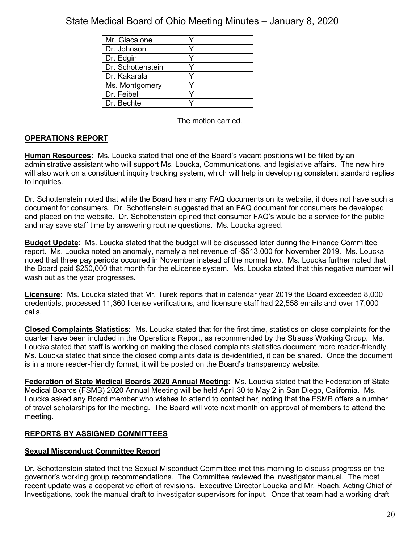| Mr. Giacalone     |  |
|-------------------|--|
| Dr. Johnson       |  |
| Dr. Edgin         |  |
| Dr. Schottenstein |  |
| Dr. Kakarala      |  |
| Ms. Montgomery    |  |
| Dr. Feibel        |  |
| Dr. Bechtel       |  |

The motion carried.

## **OPERATIONS REPORT**

**Human Resources:** Ms. Loucka stated that one of the Board's vacant positions will be filled by an administrative assistant who will support Ms. Loucka, Communications, and legislative affairs. The new hire will also work on a constituent inquiry tracking system, which will help in developing consistent standard replies to inquiries.

Dr. Schottenstein noted that while the Board has many FAQ documents on its website, it does not have such a document for consumers. Dr. Schottenstein suggested that an FAQ document for consumers be developed and placed on the website. Dr. Schottenstein opined that consumer FAQ's would be a service for the public and may save staff time by answering routine questions. Ms. Loucka agreed.

**Budget Update:** Ms. Loucka stated that the budget will be discussed later during the Finance Committee report. Ms. Loucka noted an anomaly, namely a net revenue of -\$513,000 for November 2019. Ms. Loucka noted that three pay periods occurred in November instead of the normal two. Ms. Loucka further noted that the Board paid \$250,000 that month for the eLicense system. Ms. Loucka stated that this negative number will wash out as the year progresses.

**Licensure:** Ms. Loucka stated that Mr. Turek reports that in calendar year 2019 the Board exceeded 8,000 credentials, processed 11,360 license verifications, and licensure staff had 22,558 emails and over 17,000 calls.

**Closed Complaints Statistics:** Ms. Loucka stated that for the first time, statistics on close complaints for the quarter have been included in the Operations Report, as recommended by the Strauss Working Group. Ms. Loucka stated that staff is working on making the closed complaints statistics document more reader-friendly. Ms. Loucka stated that since the closed complaints data is de-identified, it can be shared. Once the document is in a more reader-friendly format, it will be posted on the Board's transparency website.

**Federation of State Medical Boards 2020 Annual Meeting:** Ms. Loucka stated that the Federation of State Medical Boards (FSMB) 2020 Annual Meeting will be held April 30 to May 2 in San Diego, California. Ms. Loucka asked any Board member who wishes to attend to contact her, noting that the FSMB offers a number of travel scholarships for the meeting. The Board will vote next month on approval of members to attend the meeting.

## **REPORTS BY ASSIGNED COMMITTEES**

## **Sexual Misconduct Committee Report**

Dr. Schottenstein stated that the Sexual Misconduct Committee met this morning to discuss progress on the governor's working group recommendations. The Committee reviewed the investigator manual. The most recent update was a cooperative effort of revisions. Executive Director Loucka and Mr. Roach, Acting Chief of Investigations, took the manual draft to investigator supervisors for input. Once that team had a working draft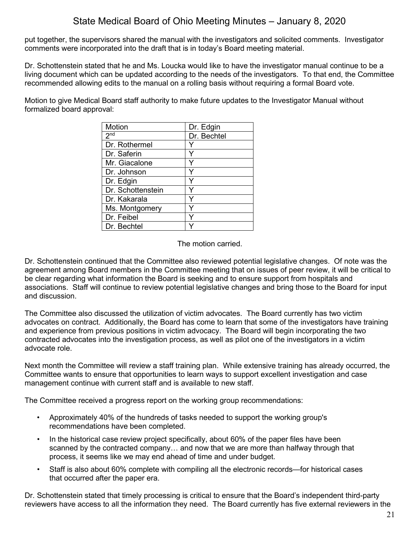put together, the supervisors shared the manual with the investigators and solicited comments. Investigator comments were incorporated into the draft that is in today's Board meeting material.

Dr. Schottenstein stated that he and Ms. Loucka would like to have the investigator manual continue to be a living document which can be updated according to the needs of the investigators. To that end, the Committee recommended allowing edits to the manual on a rolling basis without requiring a formal Board vote.

Motion to give Medical Board staff authority to make future updates to the Investigator Manual without formalized board approval:

| <b>Motion</b>       | Dr. Edgin   |
|---------------------|-------------|
| $2^{n\overline{d}}$ | Dr. Bechtel |
| Dr. Rothermel       |             |
| Dr. Saferin         |             |
| Mr. Giacalone       |             |
| Dr. Johnson         |             |
| Dr. Edgin           |             |
| Dr. Schottenstein   |             |
| Dr. Kakarala        |             |
| Ms. Montgomery      |             |
| Dr. Feibel          | v           |
| Dr. Bechtel         |             |

The motion carried.

Dr. Schottenstein continued that the Committee also reviewed potential legislative changes. Of note was the agreement among Board members in the Committee meeting that on issues of peer review, it will be critical to be clear regarding what information the Board is seeking and to ensure support from hospitals and associations. Staff will continue to review potential legislative changes and bring those to the Board for input and discussion.

The Committee also discussed the utilization of victim advocates. The Board currently has two victim advocates on contract. Additionally, the Board has come to learn that some of the investigators have training and experience from previous positions in victim advocacy. The Board will begin incorporating the two contracted advocates into the investigation process, as well as pilot one of the investigators in a victim advocate role.

Next month the Committee will review a staff training plan. While extensive training has already occurred, the Committee wants to ensure that opportunities to learn ways to support excellent investigation and case management continue with current staff and is available to new staff.

The Committee received a progress report on the working group recommendations:

- Approximately 40% of the hundreds of tasks needed to support the working group's recommendations have been completed.
- In the historical case review project specifically, about 60% of the paper files have been scanned by the contracted company… and now that we are more than halfway through that process, it seems like we may end ahead of time and under budget.
- Staff is also about 60% complete with compiling all the electronic records—for historical cases that occurred after the paper era.

Dr. Schottenstein stated that timely processing is critical to ensure that the Board's independent third-party reviewers have access to all the information they need. The Board currently has five external reviewers in the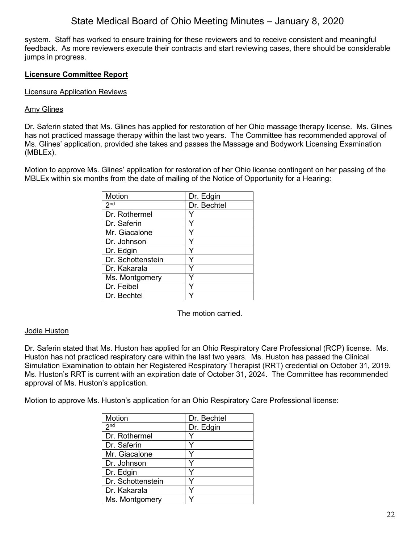system. Staff has worked to ensure training for these reviewers and to receive consistent and meaningful feedback. As more reviewers execute their contracts and start reviewing cases, there should be considerable jumps in progress.

## **Licensure Committee Report**

## Licensure Application Reviews

## Amy Glines

Dr. Saferin stated that Ms. Glines has applied for restoration of her Ohio massage therapy license. Ms. Glines has not practiced massage therapy within the last two years. The Committee has recommended approval of Ms. Glines' application, provided she takes and passes the Massage and Bodywork Licensing Examination (MBLEx).

Motion to approve Ms. Glines' application for restoration of her Ohio license contingent on her passing of the MBLEx within six months from the date of mailing of the Notice of Opportunity for a Hearing:

| Motion            | Dr. Edgin   |
|-------------------|-------------|
| 2 <sub>nd</sub>   | Dr. Bechtel |
| Dr. Rothermel     |             |
| Dr. Saferin       |             |
| Mr. Giacalone     |             |
| Dr. Johnson       |             |
| Dr. Edgin         | Y           |
| Dr. Schottenstein |             |
| Dr. Kakarala      | Y           |
| Ms. Montgomery    | v           |
| Dr. Feibel        |             |
| Dr. Bechtel       |             |

The motion carried.

## Jodie Huston

Dr. Saferin stated that Ms. Huston has applied for an Ohio Respiratory Care Professional (RCP) license. Ms. Huston has not practiced respiratory care within the last two years. Ms. Huston has passed the Clinical Simulation Examination to obtain her Registered Respiratory Therapist (RRT) credential on October 31, 2019. Ms. Huston's RRT is current with an expiration date of October 31, 2024. The Committee has recommended approval of Ms. Huston's application.

Motion to approve Ms. Huston's application for an Ohio Respiratory Care Professional license:

| Motion            | Dr. Bechtel |
|-------------------|-------------|
| 2 <sup>nd</sup>   | Dr. Edgin   |
| Dr. Rothermel     |             |
| Dr. Saferin       | v           |
| Mr. Giacalone     |             |
| Dr. Johnson       | v           |
| Dr. Edgin         |             |
| Dr. Schottenstein |             |
| Dr. Kakarala      |             |
| Ms. Montgomery    |             |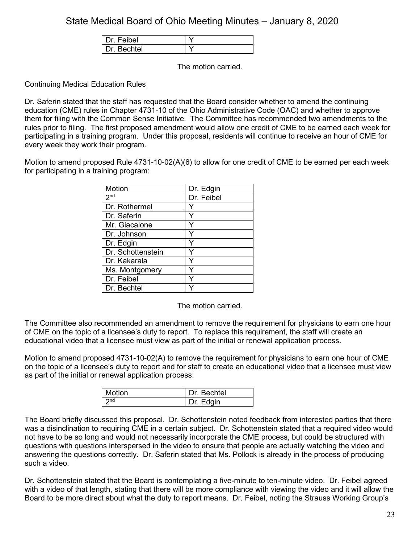| Dr Feibel  |  |
|------------|--|
| Dr Bechtel |  |

The motion carried.

## Continuing Medical Education Rules

Dr. Saferin stated that the staff has requested that the Board consider whether to amend the continuing education (CME) rules in Chapter 4731-10 of the Ohio Administrative Code (OAC) and whether to approve them for filing with the Common Sense Initiative. The Committee has recommended two amendments to the rules prior to filing. The first proposed amendment would allow one credit of CME to be earned each week for participating in a training program. Under this proposal, residents will continue to receive an hour of CME for every week they work their program.

Motion to amend proposed Rule 4731-10-02(A)(6) to allow for one credit of CME to be earned per each week for participating in a training program:

| Motion            | Dr. Edgin  |
|-------------------|------------|
| 2 <sup>nd</sup>   | Dr. Feibel |
| Dr. Rothermel     |            |
| Dr. Saferin       |            |
| Mr. Giacalone     |            |
| Dr. Johnson       |            |
| Dr. Edgin         |            |
| Dr. Schottenstein |            |
| Dr. Kakarala      |            |
| Ms. Montgomery    |            |
| Dr. Feibel        |            |
| Dr. Bechtel       |            |

The motion carried.

The Committee also recommended an amendment to remove the requirement for physicians to earn one hour of CME on the topic of a licensee's duty to report. To replace this requirement, the staff will create an educational video that a licensee must view as part of the initial or renewal application process.

Motion to amend proposed 4731-10-02(A) to remove the requirement for physicians to earn one hour of CME on the topic of a licensee's duty to report and for staff to create an educational video that a licensee must view as part of the initial or renewal application process:

| Motion          | Dr. Bechtel |
|-----------------|-------------|
| 2 <sub>nd</sub> | Dr. Edgin   |

The Board briefly discussed this proposal. Dr. Schottenstein noted feedback from interested parties that there was a disinclination to requiring CME in a certain subject. Dr. Schottenstein stated that a required video would not have to be so long and would not necessarily incorporate the CME process, but could be structured with questions with questions interspersed in the video to ensure that people are actually watching the video and answering the questions correctly. Dr. Saferin stated that Ms. Pollock is already in the process of producing such a video.

Dr. Schottenstein stated that the Board is contemplating a five-minute to ten-minute video. Dr. Feibel agreed with a video of that length, stating that there will be more compliance with viewing the video and it will allow the Board to be more direct about what the duty to report means. Dr. Feibel, noting the Strauss Working Group's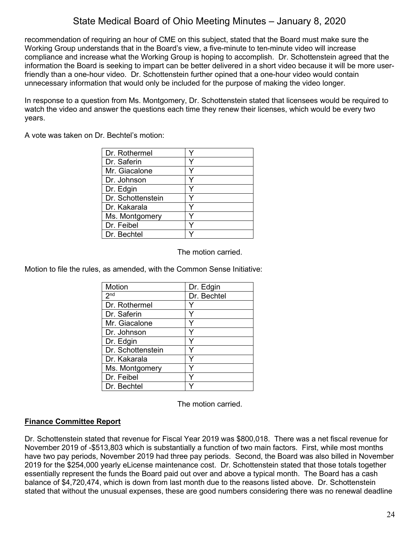recommendation of requiring an hour of CME on this subject, stated that the Board must make sure the Working Group understands that in the Board's view, a five-minute to ten-minute video will increase compliance and increase what the Working Group is hoping to accomplish. Dr. Schottenstein agreed that the information the Board is seeking to impart can be better delivered in a short video because it will be more userfriendly than a one-hour video. Dr. Schottenstein further opined that a one-hour video would contain unnecessary information that would only be included for the purpose of making the video longer.

In response to a question from Ms. Montgomery, Dr. Schottenstein stated that licensees would be required to watch the video and answer the questions each time they renew their licenses, which would be every two years.

A vote was taken on Dr. Bechtel's motion:

| Dr. Rothermel     |   |
|-------------------|---|
| Dr. Saferin       | v |
| Mr. Giacalone     |   |
| Dr. Johnson       | Y |
| Dr. Edgin         | v |
| Dr. Schottenstein |   |
| Dr. Kakarala      |   |
| Ms. Montgomery    |   |
| Dr. Feibel        |   |
| Dr. Bechtel       |   |

The motion carried.

Motion to file the rules, as amended, with the Common Sense Initiative:

| <b>Motion</b>     | Dr. Edgin   |
|-------------------|-------------|
| $2^{nd}$          | Dr. Bechtel |
| Dr. Rothermel     |             |
| Dr. Saferin       | Y           |
| Mr. Giacalone     |             |
| Dr. Johnson       | Y           |
| Dr. Edgin         |             |
| Dr. Schottenstein |             |
| Dr. Kakarala      | Y           |
| Ms. Montgomery    | Y           |
| Dr. Feibel        | Y           |
| Dr. Bechtel       |             |

The motion carried.

## **Finance Committee Report**

Dr. Schottenstein stated that revenue for Fiscal Year 2019 was \$800,018. There was a net fiscal revenue for November 2019 of -\$513,803 which is substantially a function of two main factors. First, while most months have two pay periods, November 2019 had three pay periods. Second, the Board was also billed in November 2019 for the \$254,000 yearly eLicense maintenance cost. Dr. Schottenstein stated that those totals together essentially represent the funds the Board paid out over and above a typical month. The Board has a cash balance of \$4,720,474, which is down from last month due to the reasons listed above. Dr. Schottenstein stated that without the unusual expenses, these are good numbers considering there was no renewal deadline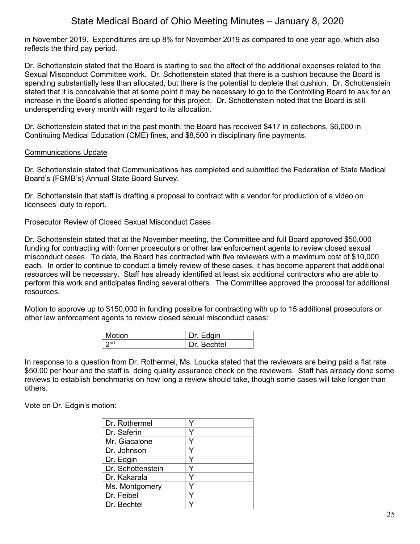in November 2019. Expenditures are up 8% for November 2019 as compared to one year ago, which also reflects the third pay period.

Dr. Schottenstein stated that the Board is starting to see the effect of the additional expenses related to the Sexual Misconduct Committee work. Dr. Schottenstein stated that there is a cushion because the Board is spending substantially less than allocated, but there is the potential to deplete that cushion. Dr. Schottenstein stated that it is conceivable that at some point it may be necessary to go to the Controlling Board to ask for an increase in the Board's allotted spending for this project. Dr. Schottenstein noted that the Board is still underspending every month with regard to its allocation.

Dr. Schottenstein stated that in the past month, the Board has received \$417 in collections, \$6,000 in Continuing Medical Education (CME) fines, and \$8,500 in disciplinary fine payments.

### Communications Update

Dr. Schottenstein stated that Communications has completed and submitted the Federation of State Medical Board's (FSMB's) Annual State Board Survey.

Dr. Schottenstein that staff is drafting a proposal to contract with a vendor for production of a video on licensees' duty to report.

### Prosecutor Review of Closed Sexual Misconduct Cases

Dr. Schottenstein stated that at the November meeting, the Committee and full Board approved \$50,000 funding for contracting with former prosecutors or other law enforcement agents to review closed sexual misconduct cases. To date, the Board has contracted with five reviewers with a maximum cost of \$10,000 each. In order to continue to conduct a timely review of these cases, it has become apparent that additional resources will be necessary. Staff has already identified at least six additional contractors who are able to perform this work and anticipates finding several others. The Committee approved the proposal for additional resources.

Motion to approve up to \$150,000 in funding possible for contracting with up to 15 additional prosecutors or other law enforcement agents to review closed sexual misconduct cases:

| <b>Motion</b> | Dr. Edgin   |
|---------------|-------------|
| つnd           | Dr. Bechtel |

In response to a question from Dr. Rothermel, Ms. Loucka stated that the reviewers are being paid a flat rate \$50.00 per hour and the staff is doing quality assurance check on the reviewers. Staff has already done some reviews to establish benchmarks on how long a review should take, though some cases will take longer than others.

Vote on Dr. Edgin's motion:

| Dr. Rothermel     |   |
|-------------------|---|
| Dr. Saferin       | ٧ |
| Mr. Giacalone     |   |
| Dr. Johnson       |   |
| Dr. Edgin         | v |
| Dr. Schottenstein |   |
| Dr. Kakarala      |   |
| Ms. Montgomery    |   |
| Dr. Feibel        |   |
| Dr. Bechtel       |   |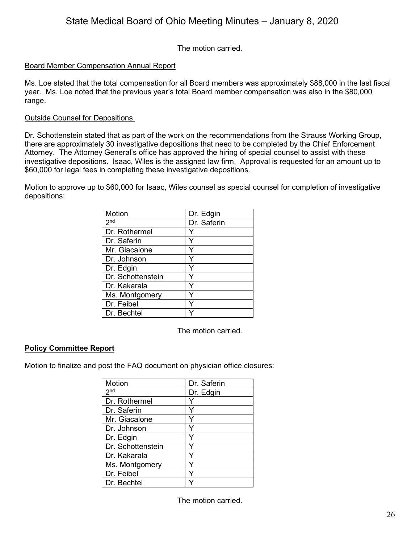The motion carried.

## Board Member Compensation Annual Report

Ms. Loe stated that the total compensation for all Board members was approximately \$88,000 in the last fiscal year. Ms. Loe noted that the previous year's total Board member compensation was also in the \$80,000 range.

## Outside Counsel for Depositions

Dr. Schottenstein stated that as part of the work on the recommendations from the Strauss Working Group, there are approximately 30 investigative depositions that need to be completed by the Chief Enforcement Attorney. The Attorney General's office has approved the hiring of special counsel to assist with these investigative depositions. Isaac, Wiles is the assigned law firm. Approval is requested for an amount up to \$60,000 for legal fees in completing these investigative depositions.

Motion to approve up to \$60,000 for Isaac, Wiles counsel as special counsel for completion of investigative depositions:

| Motion            | Dr. Edgin   |
|-------------------|-------------|
| 2 <sup>nd</sup>   | Dr. Saferin |
| Dr. Rothermel     |             |
| Dr. Saferin       |             |
| Mr. Giacalone     |             |
| Dr. Johnson       |             |
| Dr. Edgin         | Y           |
| Dr. Schottenstein |             |
| Dr. Kakarala      |             |
| Ms. Montgomery    |             |
| Dr. Feibel        |             |
| Dr. Bechtel       |             |

The motion carried.

## **Policy Committee Report**

Motion to finalize and post the FAQ document on physician office closures:

| <b>Motion</b>     | Dr. Saferin |
|-------------------|-------------|
| 2 <sub>nd</sub>   | Dr. Edgin   |
| Dr. Rothermel     |             |
| Dr. Saferin       |             |
| Mr. Giacalone     |             |
| Dr. Johnson       |             |
| Dr. Edgin         |             |
| Dr. Schottenstein |             |
| Dr. Kakarala      | Y           |
| Ms. Montgomery    |             |
| Dr. Feibel        |             |
| Dr. Bechtel       |             |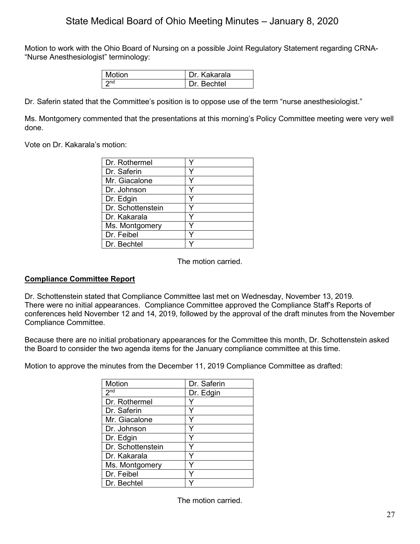Motion to work with the Ohio Board of Nursing on a possible Joint Regulatory Statement regarding CRNA- "Nurse Anesthesiologist" terminology:

| Motion          | Dr. Kakarala |
|-----------------|--------------|
| 2n <sub>d</sub> | Dr. Bechtel  |

Dr. Saferin stated that the Committee's position is to oppose use of the term "nurse anesthesiologist."

Ms. Montgomery commented that the presentations at this morning's Policy Committee meeting were very well done.

Vote on Dr. Kakarala's motion:

| Dr. Rothermel     |   |
|-------------------|---|
| Dr. Saferin       | v |
| Mr. Giacalone     | ٧ |
| Dr. Johnson       |   |
| Dr. Edgin         |   |
| Dr. Schottenstein | v |
| Dr. Kakarala      |   |
| Ms. Montgomery    |   |
| Dr. Feibel        |   |
| Dr. Bechtel       |   |

The motion carried.

## **Compliance Committee Report**

Dr. Schottenstein stated that Compliance Committee last met on Wednesday, November 13, 2019. There were no initial appearances. Compliance Committee approved the Compliance Staff's Reports of conferences held November 12 and 14, 2019, followed by the approval of the draft minutes from the November Compliance Committee.

Because there are no initial probationary appearances for the Committee this month, Dr. Schottenstein asked the Board to consider the two agenda items for the January compliance committee at this time.

Motion to approve the minutes from the December 11, 2019 Compliance Committee as drafted:

| Motion            | Dr. Saferin |
|-------------------|-------------|
| 2 <sub>nd</sub>   | Dr. Edgin   |
| Dr. Rothermel     |             |
| Dr. Saferin       | Y           |
| Mr. Giacalone     |             |
| Dr. Johnson       | Y           |
| Dr. Edgin         | Y           |
| Dr. Schottenstein |             |
| Dr. Kakarala      |             |
| Ms. Montgomery    |             |
| Dr. Feibel        |             |
| Dr. Bechtel       |             |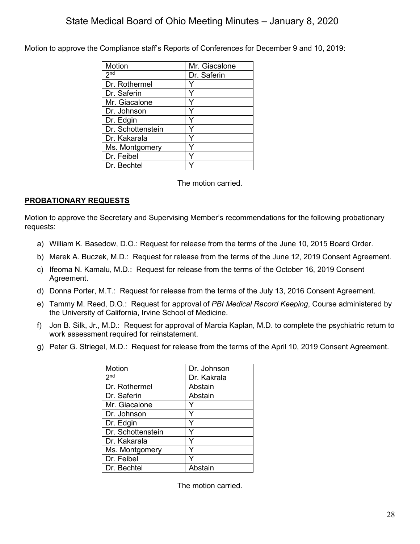Motion to approve the Compliance staff's Reports of Conferences for December 9 and 10, 2019:

| Motion              | Mr. Giacalone |
|---------------------|---------------|
| $2^{\overline{nd}}$ | Dr. Saferin   |
| Dr. Rothermel       |               |
| Dr. Saferin         |               |
| Mr. Giacalone       | Y             |
| Dr. Johnson         | ٧             |
| Dr. Edgin           | Y             |
| Dr. Schottenstein   |               |
| Dr. Kakarala        |               |
| Ms. Montgomery      | Y             |
| Dr. Feibel          | ٧             |
| Dr. Bechtel         |               |

The motion carried.

## **PROBATIONARY REQUESTS**

Motion to approve the Secretary and Supervising Member's recommendations for the following probationary requests:

- a) William K. Basedow, D.O.: Request for release from the terms of the June 10, 2015 Board Order.
- b) Marek A. Buczek, M.D.: Request for release from the terms of the June 12, 2019 Consent Agreement.
- c) Ifeoma N. Kamalu, M.D.: Request for release from the terms of the October 16, 2019 Consent Agreement.
- d) Donna Porter, M.T.: Request for release from the terms of the July 13, 2016 Consent Agreement.
- e) Tammy M. Reed, D.O.: Request for approval of *PBI Medical Record Keeping*, Course administered by the University of California, Irvine School of Medicine.
- f) Jon B. Silk, Jr., M.D.: Request for approval of Marcia Kaplan, M.D. to complete the psychiatric return to work assessment required for reinstatement.
- g) Peter G. Striegel, M.D.: Request for release from the terms of the April 10, 2019 Consent Agreement.

| Motion            | Dr. Johnson |
|-------------------|-------------|
| 2 <sub>nd</sub>   | Dr. Kakrala |
| Dr. Rothermel     | Abstain     |
| Dr. Saferin       | Abstain     |
| Mr. Giacalone     |             |
| Dr. Johnson       |             |
| Dr. Edgin         |             |
| Dr. Schottenstein |             |
| Dr. Kakarala      |             |
| Ms. Montgomery    |             |
| Dr. Feibel        |             |
| Dr. Bechtel       | Abstain     |
|                   |             |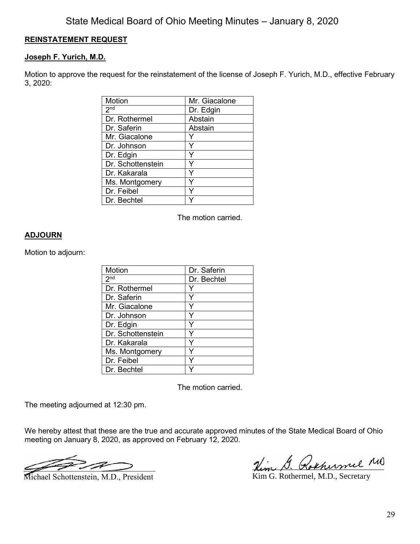## **REINSTATEMENT REQUEST**

## **Joseph F. Yurich, M.D.**

Motion to approve the request for the reinstatement of the license of Joseph F. Yurich, M.D., effective February 3, 2020:

| Motion            | Mr. Giacalone |
|-------------------|---------------|
| 2 <sup>nd</sup>   | Dr. Edgin     |
| Dr. Rothermel     | Abstain       |
| Dr. Saferin       | Abstain       |
| Mr. Giacalone     |               |
| Dr. Johnson       |               |
| Dr. Edgin         |               |
| Dr. Schottenstein |               |
| Dr. Kakarala      |               |
| Ms. Montgomery    |               |
| Dr. Feibel        |               |
| Dr. Bechtel       |               |

The motion carried.

## **ADJOURN**

Motion to adjourn:

| Motion            | Dr. Saferin |
|-------------------|-------------|
| 2 <sub>nd</sub>   | Dr. Bechtel |
| Dr. Rothermel     |             |
| Dr. Saferin       |             |
| Mr. Giacalone     |             |
| Dr. Johnson       |             |
| Dr. Edgin         |             |
| Dr. Schottenstein |             |
| Dr. Kakarala      |             |
| Ms. Montgomery    |             |
| Dr. Feibel        |             |
| Dr. Bechtel       |             |

The motion carried.

The meeting adjourned at 12:30 pm.

We hereby attest that these are the true and accurate approved minutes of the State Medical Board of Ohio meeting on January 8, 2020, as approved on February 12, 2020.

 $\mathscr{L} \rightarrow \mathscr{L} \rightarrow \mathscr{L} \rightarrow \mathscr{L} \rightarrow \mathscr{L} \rightarrow \mathscr{L} \rightarrow \mathscr{L} \rightarrow \mathscr{L} \rightarrow \mathscr{L} \rightarrow \mathscr{L} \rightarrow \mathscr{L} \rightarrow \mathscr{L} \rightarrow \mathscr{L} \rightarrow \mathscr{L} \rightarrow \mathscr{L} \rightarrow \mathscr{L} \rightarrow \mathscr{L} \rightarrow \mathscr{L} \rightarrow \mathscr{L} \rightarrow \mathscr{L} \rightarrow \mathscr{L} \rightarrow \mathscr{L} \rightarrow \mathscr{L} \rightarrow \mathscr{L} \rightarrow \mathscr{L} \rightarrow \mathscr{L} \rightarrow \mathscr{L} \rightarrow \mathscr{$ 

Michael Schottenstein, M.D., President

Him G. Rokhumel MD

Kim G. Rothermel, M.D., Secretary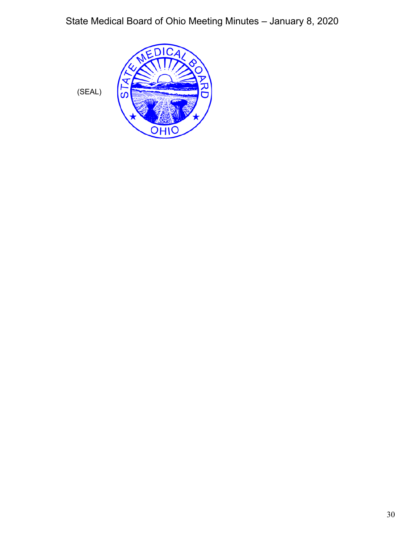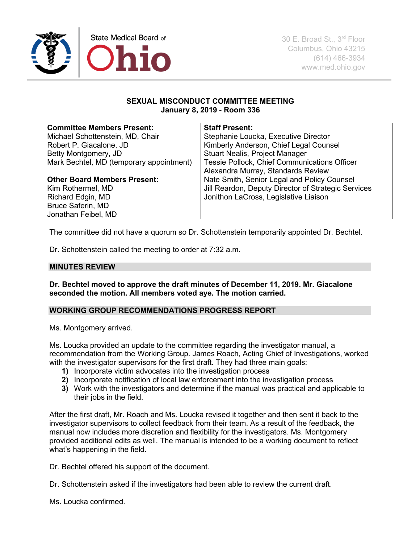

## **SEXUAL MISCONDUCT COMMITTEE MEETING January 8, 2019** - **Room 336**

| <b>Committee Members Present:</b>        | <b>Staff Present:</b>                               |
|------------------------------------------|-----------------------------------------------------|
| Michael Schottenstein, MD, Chair         | Stephanie Loucka, Executive Director                |
| Robert P. Giacalone, JD                  | Kimberly Anderson, Chief Legal Counsel              |
| Betty Montgomery, JD                     | <b>Stuart Nealis, Project Manager</b>               |
| Mark Bechtel, MD (temporary appointment) | Tessie Pollock, Chief Communications Officer        |
|                                          | Alexandra Murray, Standards Review                  |
| <b>Other Board Members Present:</b>      | Nate Smith, Senior Legal and Policy Counsel         |
| Kim Rothermel, MD                        | Jill Reardon, Deputy Director of Strategic Services |
| Richard Edgin, MD                        | Jonithon LaCross, Legislative Liaison               |
| <b>Bruce Saferin, MD</b>                 |                                                     |
| Jonathan Feibel, MD                      |                                                     |

The committee did not have a quorum so Dr. Schottenstein temporarily appointed Dr. Bechtel.

Dr. Schottenstein called the meeting to order at 7:32 a.m.

### **MINUTES REVIEW**

**Dr. Bechtel moved to approve the draft minutes of December 11, 2019. Mr. Giacalone seconded the motion. All members voted aye. The motion carried.**

#### **WORKING GROUP RECOMMENDATIONS PROGRESS REPORT**

Ms. Montgomery arrived.

Ms. Loucka provided an update to the committee regarding the investigator manual, a recommendation from the Working Group. James Roach, Acting Chief of Investigations, worked with the investigator supervisors for the first draft. They had three main goals:

- **1)** Incorporate victim advocates into the investigation process
- **2)** Incorporate notification of local law enforcement into the investigation process
- **3)** Work with the investigators and determine if the manual was practical and applicable to their jobs in the field.

After the first draft, Mr. Roach and Ms. Loucka revised it together and then sent it back to the investigator supervisors to collect feedback from their team. As a result of the feedback, the manual now includes more discretion and flexibility for the investigators. Ms. Montgomery provided additional edits as well. The manual is intended to be a working document to reflect what's happening in the field.

Dr. Bechtel offered his support of the document.

Dr. Schottenstein asked if the investigators had been able to review the current draft.

Ms. Loucka confirmed.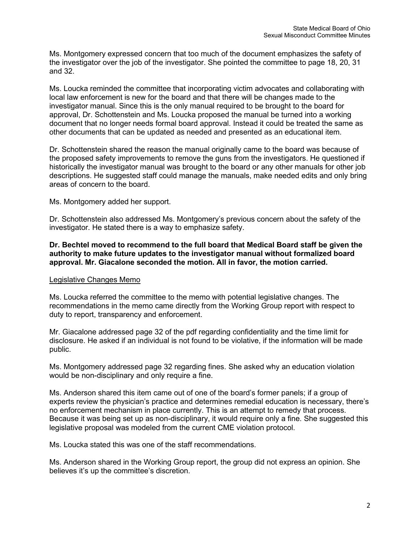Ms. Montgomery expressed concern that too much of the document emphasizes the safety of the investigator over the job of the investigator. She pointed the committee to page 18, 20, 31 and 32.

Ms. Loucka reminded the committee that incorporating victim advocates and collaborating with local law enforcement is new for the board and that there will be changes made to the investigator manual. Since this is the only manual required to be brought to the board for approval, Dr. Schottenstein and Ms. Loucka proposed the manual be turned into a working document that no longer needs formal board approval. Instead it could be treated the same as other documents that can be updated as needed and presented as an educational item.

Dr. Schottenstein shared the reason the manual originally came to the board was because of the proposed safety improvements to remove the guns from the investigators. He questioned if historically the investigator manual was brought to the board or any other manuals for other job descriptions. He suggested staff could manage the manuals, make needed edits and only bring areas of concern to the board.

Ms. Montgomery added her support.

Dr. Schottenstein also addressed Ms. Montgomery's previous concern about the safety of the investigator. He stated there is a way to emphasize safety.

**Dr. Bechtel moved to recommend to the full board that Medical Board staff be given the authority to make future updates to the investigator manual without formalized board approval. Mr. Giacalone seconded the motion. All in favor, the motion carried.** 

#### Legislative Changes Memo

Ms. Loucka referred the committee to the memo with potential legislative changes. The recommendations in the memo came directly from the Working Group report with respect to duty to report, transparency and enforcement.

Mr. Giacalone addressed page 32 of the pdf regarding confidentiality and the time limit for disclosure. He asked if an individual is not found to be violative, if the information will be made public.

Ms. Montgomery addressed page 32 regarding fines. She asked why an education violation would be non-disciplinary and only require a fine.

Ms. Anderson shared this item came out of one of the board's former panels; if a group of experts review the physician's practice and determines remedial education is necessary, there's no enforcement mechanism in place currently. This is an attempt to remedy that process. Because it was being set up as non-disciplinary, it would require only a fine. She suggested this legislative proposal was modeled from the current CME violation protocol.

Ms. Loucka stated this was one of the staff recommendations.

Ms. Anderson shared in the Working Group report, the group did not express an opinion. She believes it's up the committee's discretion.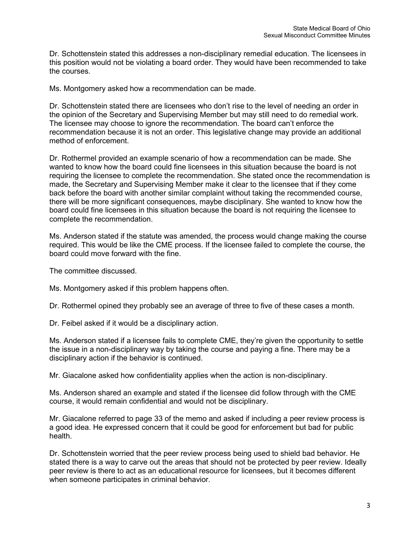Dr. Schottenstein stated this addresses a non-disciplinary remedial education. The licensees in this position would not be violating a board order. They would have been recommended to take the courses.

Ms. Montgomery asked how a recommendation can be made.

Dr. Schottenstein stated there are licensees who don't rise to the level of needing an order in the opinion of the Secretary and Supervising Member but may still need to do remedial work. The licensee may choose to ignore the recommendation. The board can't enforce the recommendation because it is not an order. This legislative change may provide an additional method of enforcement.

Dr. Rothermel provided an example scenario of how a recommendation can be made. She wanted to know how the board could fine licensees in this situation because the board is not requiring the licensee to complete the recommendation. She stated once the recommendation is made, the Secretary and Supervising Member make it clear to the licensee that if they come back before the board with another similar complaint without taking the recommended course, there will be more significant consequences, maybe disciplinary. She wanted to know how the board could fine licensees in this situation because the board is not requiring the licensee to complete the recommendation.

Ms. Anderson stated if the statute was amended, the process would change making the course required. This would be like the CME process. If the licensee failed to complete the course, the board could move forward with the fine.

The committee discussed.

Ms. Montgomery asked if this problem happens often.

Dr. Rothermel opined they probably see an average of three to five of these cases a month.

Dr. Feibel asked if it would be a disciplinary action.

Ms. Anderson stated if a licensee fails to complete CME, they're given the opportunity to settle the issue in a non-disciplinary way by taking the course and paying a fine. There may be a disciplinary action if the behavior is continued.

Mr. Giacalone asked how confidentiality applies when the action is non-disciplinary.

Ms. Anderson shared an example and stated if the licensee did follow through with the CME course, it would remain confidential and would not be disciplinary.

Mr. Giacalone referred to page 33 of the memo and asked if including a peer review process is a good idea. He expressed concern that it could be good for enforcement but bad for public health.

Dr. Schottenstein worried that the peer review process being used to shield bad behavior. He stated there is a way to carve out the areas that should not be protected by peer review. Ideally peer review is there to act as an educational resource for licensees, but it becomes different when someone participates in criminal behavior.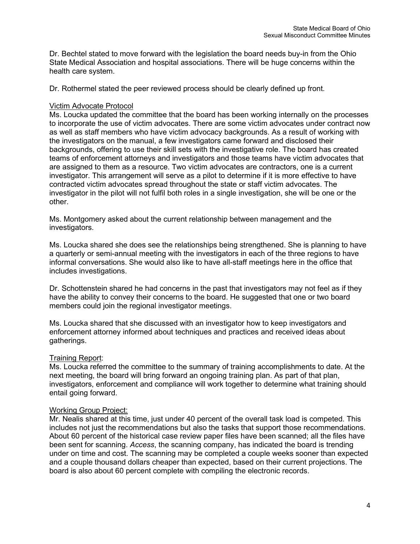Dr. Bechtel stated to move forward with the legislation the board needs buy-in from the Ohio State Medical Association and hospital associations. There will be huge concerns within the health care system.

Dr. Rothermel stated the peer reviewed process should be clearly defined up front.

#### Victim Advocate Protocol

Ms. Loucka updated the committee that the board has been working internally on the processes to incorporate the use of victim advocates. There are some victim advocates under contract now as well as staff members who have victim advocacy backgrounds. As a result of working with the investigators on the manual, a few investigators came forward and disclosed their backgrounds, offering to use their skill sets with the investigative role. The board has created teams of enforcement attorneys and investigators and those teams have victim advocates that are assigned to them as a resource. Two victim advocates are contractors, one is a current investigator. This arrangement will serve as a pilot to determine if it is more effective to have contracted victim advocates spread throughout the state or staff victim advocates. The investigator in the pilot will not fulfil both roles in a single investigation, she will be one or the other.

Ms. Montgomery asked about the current relationship between management and the investigators.

Ms. Loucka shared she does see the relationships being strengthened. She is planning to have a quarterly or semi-annual meeting with the investigators in each of the three regions to have informal conversations. She would also like to have all-staff meetings here in the office that includes investigations.

Dr. Schottenstein shared he had concerns in the past that investigators may not feel as if they have the ability to convey their concerns to the board. He suggested that one or two board members could join the regional investigator meetings.

Ms. Loucka shared that she discussed with an investigator how to keep investigators and enforcement attorney informed about techniques and practices and received ideas about gatherings.

## Training Report:

Ms. Loucka referred the committee to the summary of training accomplishments to date. At the next meeting, the board will bring forward an ongoing training plan. As part of that plan, investigators, enforcement and compliance will work together to determine what training should entail going forward.

#### Working Group Project:

Mr. Nealis shared at this time, just under 40 percent of the overall task load is competed. This includes not just the recommendations but also the tasks that support those recommendations. About 60 percent of the historical case review paper files have been scanned; all the files have been sent for scanning. *Access*, the scanning company, has indicated the board is trending under on time and cost. The scanning may be completed a couple weeks sooner than expected and a couple thousand dollars cheaper than expected, based on their current projections. The board is also about 60 percent complete with compiling the electronic records.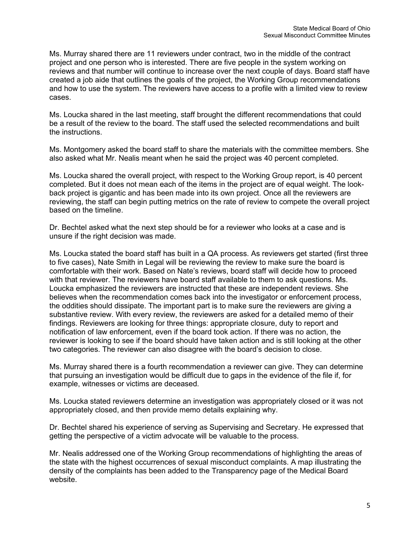Ms. Murray shared there are 11 reviewers under contract, two in the middle of the contract project and one person who is interested. There are five people in the system working on reviews and that number will continue to increase over the next couple of days. Board staff have created a job aide that outlines the goals of the project, the Working Group recommendations and how to use the system. The reviewers have access to a profile with a limited view to review cases.

Ms. Loucka shared in the last meeting, staff brought the different recommendations that could be a result of the review to the board. The staff used the selected recommendations and built the instructions.

Ms. Montgomery asked the board staff to share the materials with the committee members. She also asked what Mr. Nealis meant when he said the project was 40 percent completed.

Ms. Loucka shared the overall project, with respect to the Working Group report, is 40 percent completed. But it does not mean each of the items in the project are of equal weight. The lookback project is gigantic and has been made into its own project. Once all the reviewers are reviewing, the staff can begin putting metrics on the rate of review to compete the overall project based on the timeline.

Dr. Bechtel asked what the next step should be for a reviewer who looks at a case and is unsure if the right decision was made.

Ms. Loucka stated the board staff has built in a QA process. As reviewers get started (first three to five cases), Nate Smith in Legal will be reviewing the review to make sure the board is comfortable with their work. Based on Nate's reviews, board staff will decide how to proceed with that reviewer. The reviewers have board staff available to them to ask questions. Ms. Loucka emphasized the reviewers are instructed that these are independent reviews. She believes when the recommendation comes back into the investigator or enforcement process, the oddities should dissipate. The important part is to make sure the reviewers are giving a substantive review. With every review, the reviewers are asked for a detailed memo of their findings. Reviewers are looking for three things: appropriate closure, duty to report and notification of law enforcement, even if the board took action. If there was no action, the reviewer is looking to see if the board should have taken action and is still looking at the other two categories. The reviewer can also disagree with the board's decision to close.

Ms. Murray shared there is a fourth recommendation a reviewer can give. They can determine that pursuing an investigation would be difficult due to gaps in the evidence of the file if, for example, witnesses or victims are deceased.

Ms. Loucka stated reviewers determine an investigation was appropriately closed or it was not appropriately closed, and then provide memo details explaining why.

Dr. Bechtel shared his experience of serving as Supervising and Secretary. He expressed that getting the perspective of a victim advocate will be valuable to the process.

Mr. Nealis addressed one of the Working Group recommendations of highlighting the areas of the state with the highest occurrences of sexual misconduct complaints. A map illustrating the density of the complaints has been added to the Transparency page of the Medical Board website.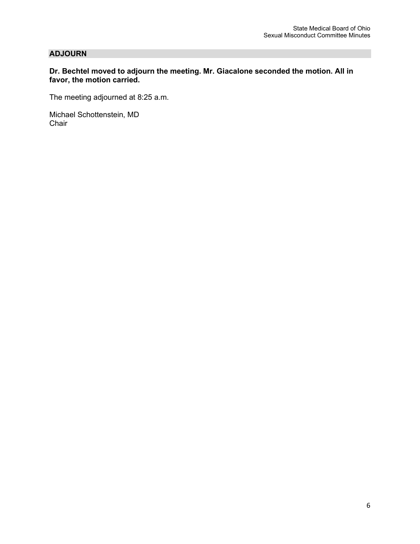## **ADJOURN**

### **Dr. Bechtel moved to adjourn the meeting. Mr. Giacalone seconded the motion. All in favor, the motion carried.**

The meeting adjourned at 8:25 a.m.

Michael Schottenstein, MD Chair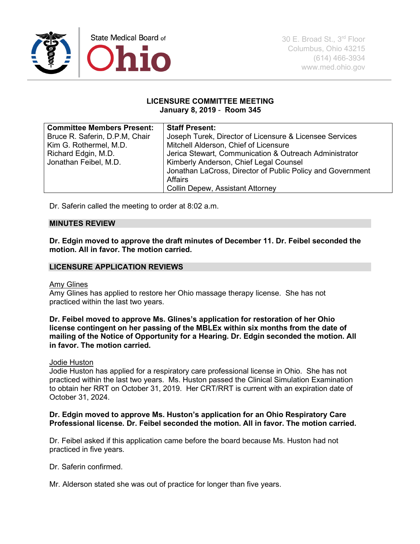

#### **LICENSURE COMMITTEE MEETING January 8, 2019** - **Room 345**

| <b>Committee Members Present:</b> | <b>Staff Present:</b>                                      |
|-----------------------------------|------------------------------------------------------------|
| Bruce R. Saferin, D.P.M, Chair    | Joseph Turek, Director of Licensure & Licensee Services    |
| Kim G. Rothermel, M.D.            | Mitchell Alderson, Chief of Licensure                      |
| Richard Edgin, M.D.               | Jerica Stewart, Communication & Outreach Administrator     |
| Jonathan Feibel, M.D.             | Kimberly Anderson, Chief Legal Counsel                     |
|                                   | Jonathan LaCross, Director of Public Policy and Government |
|                                   | Affairs                                                    |
|                                   | <b>Collin Depew, Assistant Attorney</b>                    |

Dr. Saferin called the meeting to order at 8:02 a.m.

#### **MINUTES REVIEW**

**Dr. Edgin moved to approve the draft minutes of December 11. Dr. Feibel seconded the motion. All in favor. The motion carried.**

### **LICENSURE APPLICATION REVIEWS**

#### Amy Glines

Amy Glines has applied to restore her Ohio massage therapy license. She has not practiced within the last two years.

**Dr. Feibel moved to approve Ms. Glines's application for restoration of her Ohio license contingent on her passing of the MBLEx within six months from the date of mailing of the Notice of Opportunity for a Hearing. Dr. Edgin seconded the motion. All in favor. The motion carried.**

#### Jodie Huston

Jodie Huston has applied for a respiratory care professional license in Ohio. She has not practiced within the last two years. Ms. Huston passed the Clinical Simulation Examination to obtain her RRT on October 31, 2019. Her CRT/RRT is current with an expiration date of October 31, 2024.

### **Dr. Edgin moved to approve Ms. Huston's application for an Ohio Respiratory Care Professional license. Dr. Feibel seconded the motion. All in favor. The motion carried.**

Dr. Feibel asked if this application came before the board because Ms. Huston had not practiced in five years.

Dr. Saferin confirmed.

Mr. Alderson stated she was out of practice for longer than five years.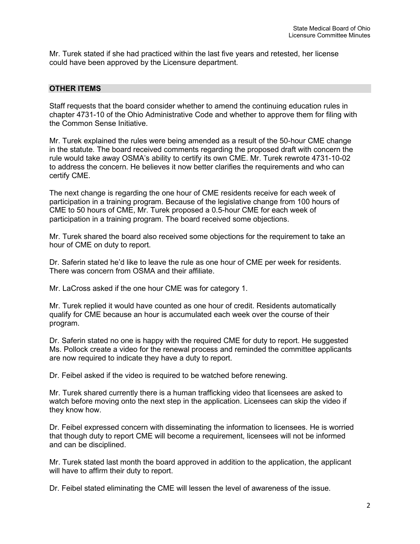Mr. Turek stated if she had practiced within the last five years and retested, her license could have been approved by the Licensure department.

### **OTHER ITEMS**

Staff requests that the board consider whether to amend the continuing education rules in chapter 4731-10 of the Ohio Administrative Code and whether to approve them for filing with the Common Sense Initiative.

Mr. Turek explained the rules were being amended as a result of the 50-hour CME change in the statute. The board received comments regarding the proposed draft with concern the rule would take away OSMA's ability to certify its own CME. Mr. Turek rewrote 4731-10-02 to address the concern. He believes it now better clarifies the requirements and who can certify CME.

The next change is regarding the one hour of CME residents receive for each week of participation in a training program. Because of the legislative change from 100 hours of CME to 50 hours of CME, Mr. Turek proposed a 0.5-hour CME for each week of participation in a training program. The board received some objections.

Mr. Turek shared the board also received some objections for the requirement to take an hour of CME on duty to report.

Dr. Saferin stated he'd like to leave the rule as one hour of CME per week for residents. There was concern from OSMA and their affiliate.

Mr. LaCross asked if the one hour CME was for category 1.

Mr. Turek replied it would have counted as one hour of credit. Residents automatically qualify for CME because an hour is accumulated each week over the course of their program.

Dr. Saferin stated no one is happy with the required CME for duty to report. He suggested Ms. Pollock create a video for the renewal process and reminded the committee applicants are now required to indicate they have a duty to report.

Dr. Feibel asked if the video is required to be watched before renewing.

Mr. Turek shared currently there is a human trafficking video that licensees are asked to watch before moving onto the next step in the application. Licensees can skip the video if they know how.

Dr. Feibel expressed concern with disseminating the information to licensees. He is worried that though duty to report CME will become a requirement, licensees will not be informed and can be disciplined.

Mr. Turek stated last month the board approved in addition to the application, the applicant will have to affirm their duty to report.

Dr. Feibel stated eliminating the CME will lessen the level of awareness of the issue.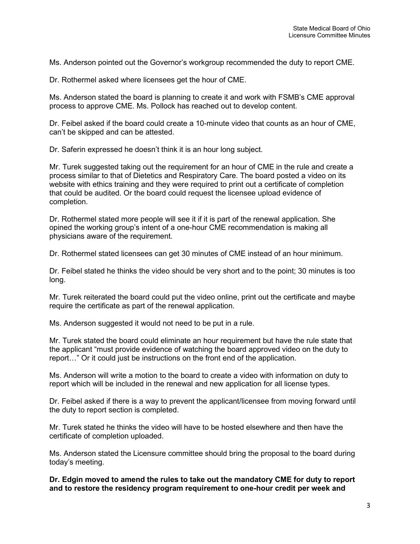Ms. Anderson pointed out the Governor's workgroup recommended the duty to report CME.

Dr. Rothermel asked where licensees get the hour of CME.

Ms. Anderson stated the board is planning to create it and work with FSMB's CME approval process to approve CME. Ms. Pollock has reached out to develop content.

Dr. Feibel asked if the board could create a 10-minute video that counts as an hour of CME, can't be skipped and can be attested.

Dr. Saferin expressed he doesn't think it is an hour long subject.

Mr. Turek suggested taking out the requirement for an hour of CME in the rule and create a process similar to that of Dietetics and Respiratory Care. The board posted a video on its website with ethics training and they were required to print out a certificate of completion that could be audited. Or the board could request the licensee upload evidence of completion.

Dr. Rothermel stated more people will see it if it is part of the renewal application. She opined the working group's intent of a one-hour CME recommendation is making all physicians aware of the requirement.

Dr. Rothermel stated licensees can get 30 minutes of CME instead of an hour minimum.

Dr. Feibel stated he thinks the video should be very short and to the point; 30 minutes is too long.

Mr. Turek reiterated the board could put the video online, print out the certificate and maybe require the certificate as part of the renewal application.

Ms. Anderson suggested it would not need to be put in a rule.

Mr. Turek stated the board could eliminate an hour requirement but have the rule state that the applicant "must provide evidence of watching the board approved video on the duty to report…" Or it could just be instructions on the front end of the application.

Ms. Anderson will write a motion to the board to create a video with information on duty to report which will be included in the renewal and new application for all license types.

Dr. Feibel asked if there is a way to prevent the applicant/licensee from moving forward until the duty to report section is completed.

Mr. Turek stated he thinks the video will have to be hosted elsewhere and then have the certificate of completion uploaded.

Ms. Anderson stated the Licensure committee should bring the proposal to the board during today's meeting.

**Dr. Edgin moved to amend the rules to take out the mandatory CME for duty to report and to restore the residency program requirement to one-hour credit per week and**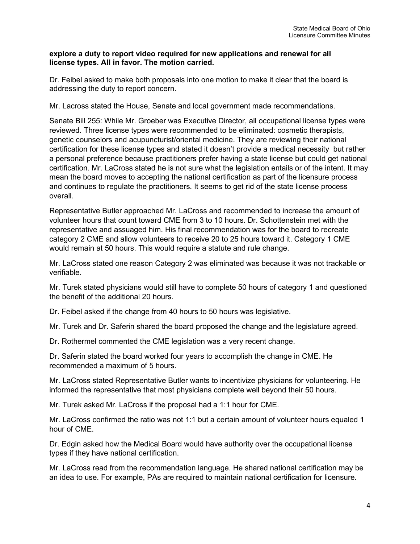#### **explore a duty to report video required for new applications and renewal for all license types. All in favor. The motion carried.**

Dr. Feibel asked to make both proposals into one motion to make it clear that the board is addressing the duty to report concern.

Mr. Lacross stated the House, Senate and local government made recommendations.

Senate Bill 255: While Mr. Groeber was Executive Director, all occupational license types were reviewed. Three license types were recommended to be eliminated: cosmetic therapists, genetic counselors and acupuncturist/oriental medicine. They are reviewing their national certification for these license types and stated it doesn't provide a medical necessity but rather a personal preference because practitioners prefer having a state license but could get national certification. Mr. LaCross stated he is not sure what the legislation entails or of the intent. It may mean the board moves to accepting the national certification as part of the licensure process and continues to regulate the practitioners. It seems to get rid of the state license process overall.

Representative Butler approached Mr. LaCross and recommended to increase the amount of volunteer hours that count toward CME from 3 to 10 hours. Dr. Schottenstein met with the representative and assuaged him. His final recommendation was for the board to recreate category 2 CME and allow volunteers to receive 20 to 25 hours toward it. Category 1 CME would remain at 50 hours. This would require a statute and rule change.

Mr. LaCross stated one reason Category 2 was eliminated was because it was not trackable or verifiable.

Mr. Turek stated physicians would still have to complete 50 hours of category 1 and questioned the benefit of the additional 20 hours.

Dr. Feibel asked if the change from 40 hours to 50 hours was legislative.

Mr. Turek and Dr. Saferin shared the board proposed the change and the legislature agreed.

Dr. Rothermel commented the CME legislation was a very recent change.

Dr. Saferin stated the board worked four years to accomplish the change in CME. He recommended a maximum of 5 hours.

Mr. LaCross stated Representative Butler wants to incentivize physicians for volunteering. He informed the representative that most physicians complete well beyond their 50 hours.

Mr. Turek asked Mr. LaCross if the proposal had a 1:1 hour for CME.

Mr. LaCross confirmed the ratio was not 1:1 but a certain amount of volunteer hours equaled 1 hour of CME.

Dr. Edgin asked how the Medical Board would have authority over the occupational license types if they have national certification.

Mr. LaCross read from the recommendation language. He shared national certification may be an idea to use. For example, PAs are required to maintain national certification for licensure.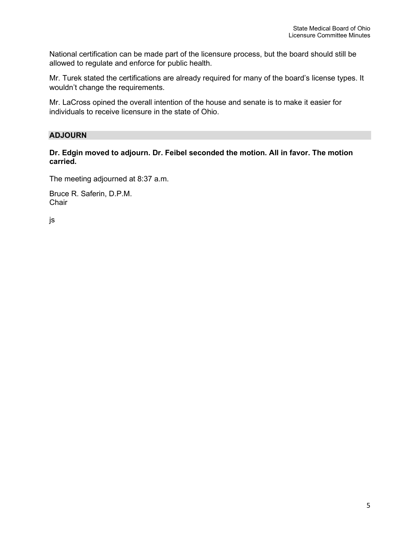National certification can be made part of the licensure process, but the board should still be allowed to regulate and enforce for public health.

Mr. Turek stated the certifications are already required for many of the board's license types. It wouldn't change the requirements.

Mr. LaCross opined the overall intention of the house and senate is to make it easier for individuals to receive licensure in the state of Ohio.

## **ADJOURN**

**Dr. Edgin moved to adjourn. Dr. Feibel seconded the motion. All in favor. The motion carried.** 

The meeting adjourned at 8:37 a.m.

Bruce R. Saferin, D.P.M. **Chair** 

js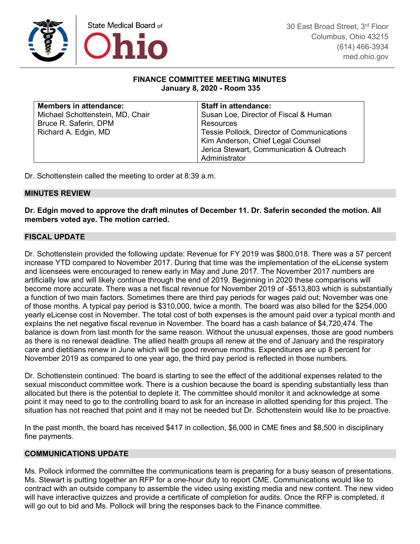

### **FINANCE COMMITTEE MEETING MINUTES January 8, 2020 - Room 335**

| <b>Members in attendance:</b>    | <b>Staff in attendance:</b>                |
|----------------------------------|--------------------------------------------|
| Michael Schottenstein, MD, Chair | Susan Loe, Director of Fiscal & Human      |
| Bruce R. Saferin, DPM            | Resources                                  |
| Richard A. Edgin, MD             | Tessie Pollock, Director of Communications |
|                                  | Kim Anderson, Chief Legal Counsel          |
|                                  | Jerica Stewart, Communication & Outreach   |
|                                  | Administrator                              |

Dr. Schottenstein called the meeting to order at 8:39 a.m.

### **MINUTES REVIEW**

**Dr. Edgin moved to approve the draft minutes of December 11. Dr. Saferin seconded the motion. All members voted aye. The motion carried.**

### **FISCAL UPDATE**

Dr. Schottenstein provided the following update: Revenue for FY 2019 was \$800,018. There was a 57 percent increase YTD compared to November 2017. During that time was the implementation of the eLicense system and licensees were encouraged to renew early in May and June 2017. The November 2017 numbers are artificially low and will likely continue through the end of 2019. Beginning in 2020 these comparisons will become more accurate. There was a net fiscal revenue for November 2019 of -\$513,803 which is substantially a function of two main factors. Sometimes there are third pay periods for wages paid out; November was one of those months. A typical pay period is \$310,000, twice a month. The board was also billed for the \$254,000 yearly eLicense cost in November. The total cost of both expenses is the amount paid over a typical month and explains the net negative fiscal revenue in November. The board has a cash balance of \$4,720,474. The balance is down from last month for the same reason. Without the unusual expenses, those are good numbers as there is no renewal deadline. The allied health groups all renew at the end of January and the respiratory care and dietitians renew in June which will be good revenue months. Expenditures are up 8 percent for November 2019 as compared to one year ago, the third pay period is reflected in those numbers.

Dr. Schottenstein continued: The board is starting to see the effect of the additional expenses related to the sexual misconduct committee work. There is a cushion because the board is spending substantially less than allocated but there is the potential to deplete it. The committee should monitor it and acknowledge at some point it may need to go to the controlling board to ask for an increase in allotted spending for this project. The situation has not reached that point and it may not be needed but Dr. Schottenstein would like to be proactive.

In the past month, the board has received \$417 in collection, \$6,000 in CME fines and \$8,500 in disciplinary fine payments.

#### **COMMUNICATIONS UPDATE**

Ms. Pollock informed the committee the communications team is preparing for a busy season of presentations. Ms. Stewart is putting together an RFP for a one-hour duty to report CME. Communications would like to contract with an outside company to assemble the video using existing media and new content. The new video will have interactive quizzes and provide a certificate of completion for audits. Once the RFP is completed, it will go out to bid and Ms. Pollock will bring the responses back to the Finance committee.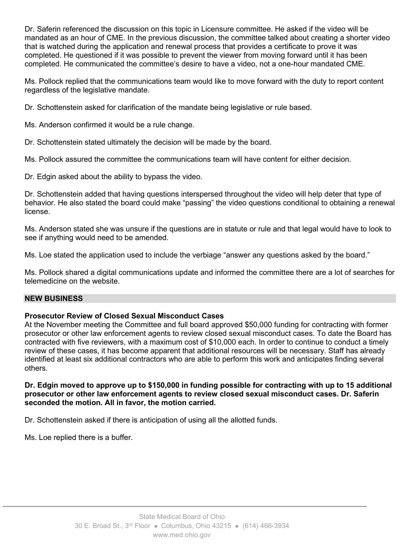Dr. Saferin referenced the discussion on this topic in Licensure committee. He asked if the video will be mandated as an hour of CME. In the previous discussion, the committee talked about creating a shorter video that is watched during the application and renewal process that provides a certificate to prove it was completed. He questioned if it was possible to prevent the viewer from moving forward until it has been completed. He communicated the committee's desire to have a video, not a one-hour mandated CME.

Ms. Pollock replied that the communications team would like to move forward with the duty to report content regardless of the legislative mandate.

Dr. Schottenstein asked for clarification of the mandate being legislative or rule based.

Ms. Anderson confirmed it would be a rule change.

Dr. Schottenstein stated ultimately the decision will be made by the board.

Ms. Pollock assured the committee the communications team will have content for either decision.

Dr. Edgin asked about the ability to bypass the video.

Dr. Schottenstein added that having questions interspersed throughout the video will help deter that type of behavior. He also stated the board could make "passing" the video questions conditional to obtaining a renewal license.

Ms. Anderson stated she was unsure if the questions are in statute or rule and that legal would have to look to see if anything would need to be amended.

Ms. Loe stated the application used to include the verbiage "answer any questions asked by the board."

Ms. Pollock shared a digital communications update and informed the committee there are a lot of searches for telemedicine on the website.

## **NEW BUSINESS**

## **Prosecutor Review of Closed Sexual Misconduct Cases**

At the November meeting the Committee and full board approved \$50,000 funding for contracting with former prosecutor or other law enforcement agents to review closed sexual misconduct cases. To date the Board has contracted with five reviewers, with a maximum cost of \$10,000 each. In order to continue to conduct a timely review of these cases, it has become apparent that additional resources will be necessary. Staff has already identified at least six additional contractors who are able to perform this work and anticipates finding several others.

## **Dr. Edgin moved to approve up to \$150,000 in funding possible for contracting with up to 15 additional prosecutor or other law enforcement agents to review closed sexual misconduct cases. Dr. Saferin seconded the motion. All in favor, the motion carried.**

Dr. Schottenstein asked if there is anticipation of using all the allotted funds.

Ms. Loe replied there is a buffer.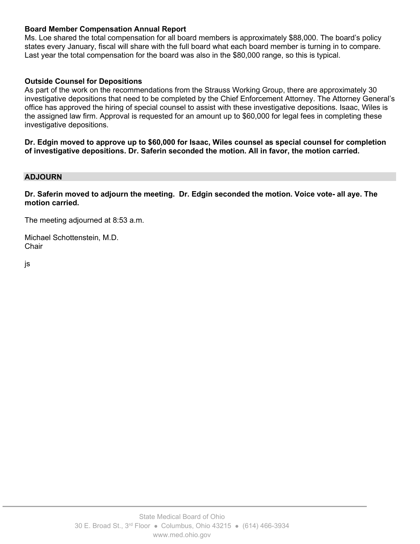### **Board Member Compensation Annual Report**

Ms. Loe shared the total compensation for all board members is approximately \$88,000. The board's policy states every January, fiscal will share with the full board what each board member is turning in to compare. Last year the total compensation for the board was also in the \$80,000 range, so this is typical.

### **Outside Counsel for Depositions**

As part of the work on the recommendations from the Strauss Working Group, there are approximately 30 investigative depositions that need to be completed by the Chief Enforcement Attorney. The Attorney General's office has approved the hiring of special counsel to assist with these investigative depositions. Isaac, Wiles is the assigned law firm. Approval is requested for an amount up to \$60,000 for legal fees in completing these investigative depositions.

**Dr. Edgin moved to approve up to \$60,000 for Isaac, Wiles counsel as special counsel for completion of investigative depositions. Dr. Saferin seconded the motion. All in favor, the motion carried.** 

#### **ADJOURN**

**Dr. Saferin moved to adjourn the meeting. Dr. Edgin seconded the motion. Voice vote- all aye. The motion carried.**

The meeting adjourned at 8:53 a.m.

Michael Schottenstein, M.D. **Chair** 

js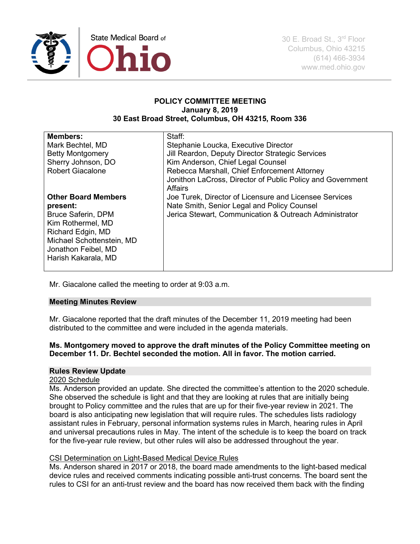

#### **POLICY COMMITTEE MEETING January 8, 2019 30 East Broad Street, Columbus, OH 43215, Room 336**

| <b>Members:</b>                                                                                                                                                                          | Staff:                                                                                                                                                                                                                                   |
|------------------------------------------------------------------------------------------------------------------------------------------------------------------------------------------|------------------------------------------------------------------------------------------------------------------------------------------------------------------------------------------------------------------------------------------|
| Mark Bechtel, MD                                                                                                                                                                         | Stephanie Loucka, Executive Director                                                                                                                                                                                                     |
| <b>Betty Montgomery</b>                                                                                                                                                                  | Jill Reardon, Deputy Director Strategic Services                                                                                                                                                                                         |
| Sherry Johnson, DO                                                                                                                                                                       | Kim Anderson, Chief Legal Counsel                                                                                                                                                                                                        |
| <b>Robert Giacalone</b>                                                                                                                                                                  | Rebecca Marshall, Chief Enforcement Attorney                                                                                                                                                                                             |
| <b>Other Board Members</b><br>present:<br><b>Bruce Saferin, DPM</b><br>Kim Rothermel, MD<br>Richard Edgin, MD<br>Michael Schottenstein, MD<br>Jonathon Feibel, MD<br>Harish Kakarala, MD | Jonithon LaCross, Director of Public Policy and Government<br>Affairs<br>Joe Turek, Director of Licensure and Licensee Services<br>Nate Smith, Senior Legal and Policy Counsel<br>Jerica Stewart, Communication & Outreach Administrator |

Mr. Giacalone called the meeting to order at 9:03 a.m.

## **Meeting Minutes Review**

Mr. Giacalone reported that the draft minutes of the December 11, 2019 meeting had been distributed to the committee and were included in the agenda materials.

### **Ms. Montgomery moved to approve the draft minutes of the Policy Committee meeting on December 11. Dr. Bechtel seconded the motion. All in favor. The motion carried.**

#### **Rules Review Update**

#### 2020 Schedule

Ms. Anderson provided an update. She directed the committee's attention to the 2020 schedule. She observed the schedule is light and that they are looking at rules that are initially being brought to Policy committee and the rules that are up for their five-year review in 2021. The board is also anticipating new legislation that will require rules. The schedules lists radiology assistant rules in February, personal information systems rules in March, hearing rules in April and universal precautions rules in May. The intent of the schedule is to keep the board on track for the five-year rule review, but other rules will also be addressed throughout the year.

#### CSI Determination on Light-Based Medical Device Rules

Ms. Anderson shared in 2017 or 2018, the board made amendments to the light-based medical device rules and received comments indicating possible anti-trust concerns. The board sent the rules to CSI for an anti-trust review and the board has now received them back with the finding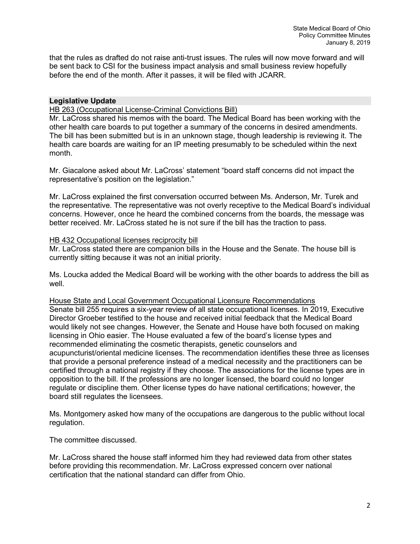that the rules as drafted do not raise anti-trust issues. The rules will now move forward and will be sent back to CSI for the business impact analysis and small business review hopefully before the end of the month. After it passes, it will be filed with JCARR.

### **Legislative Update**

HB 263 (Occupational License-Criminal Convictions Bill)

Mr. LaCross shared his memos with the board. The Medical Board has been working with the other health care boards to put together a summary of the concerns in desired amendments. The bill has been submitted but is in an unknown stage, though leadership is reviewing it. The health care boards are waiting for an IP meeting presumably to be scheduled within the next month.

Mr. Giacalone asked about Mr. LaCross' statement "board staff concerns did not impact the representative's position on the legislation."

Mr. LaCross explained the first conversation occurred between Ms. Anderson, Mr. Turek and the representative. The representative was not overly receptive to the Medical Board's individual concerns. However, once he heard the combined concerns from the boards, the message was better received. Mr. LaCross stated he is not sure if the bill has the traction to pass.

#### HB 432 Occupational licenses reciprocity bill

Mr. LaCross stated there are companion bills in the House and the Senate. The house bill is currently sitting because it was not an initial priority.

Ms. Loucka added the Medical Board will be working with the other boards to address the bill as well.

#### House State and Local Government Occupational Licensure Recommendations

Senate bill 255 requires a six-year review of all state occupational licenses. In 2019, Executive Director Groeber testified to the house and received initial feedback that the Medical Board would likely not see changes. However, the Senate and House have both focused on making licensing in Ohio easier. The House evaluated a few of the board's license types and recommended eliminating the cosmetic therapists, genetic counselors and acupuncturist/oriental medicine licenses. The recommendation identifies these three as licenses that provide a personal preference instead of a medical necessity and the practitioners can be certified through a national registry if they choose. The associations for the license types are in opposition to the bill. If the professions are no longer licensed, the board could no longer regulate or discipline them. Other license types do have national certifications; however, the board still regulates the licensees.

Ms. Montgomery asked how many of the occupations are dangerous to the public without local regulation.

The committee discussed.

Mr. LaCross shared the house staff informed him they had reviewed data from other states before providing this recommendation. Mr. LaCross expressed concern over national certification that the national standard can differ from Ohio.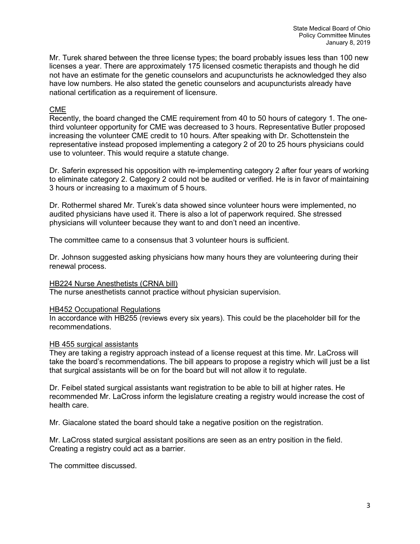Mr. Turek shared between the three license types; the board probably issues less than 100 new licenses a year. There are approximately 175 licensed cosmetic therapists and though he did not have an estimate for the genetic counselors and acupuncturists he acknowledged they also have low numbers. He also stated the genetic counselors and acupuncturists already have national certification as a requirement of licensure.

### CME

Recently, the board changed the CME requirement from 40 to 50 hours of category 1. The onethird volunteer opportunity for CME was decreased to 3 hours. Representative Butler proposed increasing the volunteer CME credit to 10 hours. After speaking with Dr. Schottenstein the representative instead proposed implementing a category 2 of 20 to 25 hours physicians could use to volunteer. This would require a statute change.

Dr. Saferin expressed his opposition with re-implementing category 2 after four years of working to eliminate category 2. Category 2 could not be audited or verified. He is in favor of maintaining 3 hours or increasing to a maximum of 5 hours.

Dr. Rothermel shared Mr. Turek's data showed since volunteer hours were implemented, no audited physicians have used it. There is also a lot of paperwork required. She stressed physicians will volunteer because they want to and don't need an incentive.

The committee came to a consensus that 3 volunteer hours is sufficient.

Dr. Johnson suggested asking physicians how many hours they are volunteering during their renewal process.

#### HB224 Nurse Anesthetists (CRNA bill)

The nurse anesthetists cannot practice without physician supervision.

#### HB452 Occupational Regulations

In accordance with HB255 (reviews every six years). This could be the placeholder bill for the recommendations.

#### HB 455 surgical assistants

They are taking a registry approach instead of a license request at this time. Mr. LaCross will take the board's recommendations. The bill appears to propose a registry which will just be a list that surgical assistants will be on for the board but will not allow it to regulate.

Dr. Feibel stated surgical assistants want registration to be able to bill at higher rates. He recommended Mr. LaCross inform the legislature creating a registry would increase the cost of health care.

Mr. Giacalone stated the board should take a negative position on the registration.

Mr. LaCross stated surgical assistant positions are seen as an entry position in the field. Creating a registry could act as a barrier.

The committee discussed.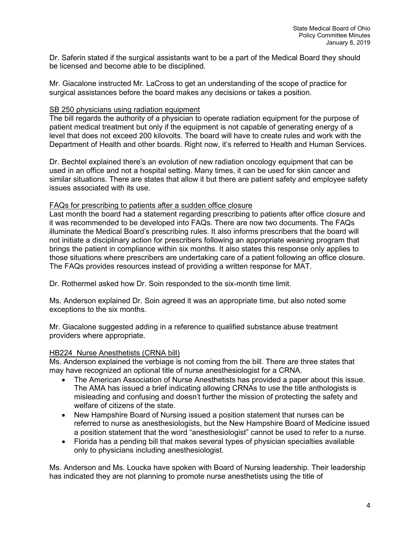Dr. Saferin stated if the surgical assistants want to be a part of the Medical Board they should be licensed and become able to be disciplined.

Mr. Giacalone instructed Mr. LaCross to get an understanding of the scope of practice for surgical assistances before the board makes any decisions or takes a position.

#### SB 250 physicians using radiation equipment

The bill regards the authority of a physician to operate radiation equipment for the purpose of patient medical treatment but only if the equipment is not capable of generating energy of a level that does not exceed 200 kilovolts. The board will have to create rules and work with the Department of Health and other boards. Right now, it's referred to Health and Human Services.

Dr. Bechtel explained there's an evolution of new radiation oncology equipment that can be used in an office and not a hospital setting. Many times, it can be used for skin cancer and similar situations. There are states that allow it but there are patient safety and employee safety issues associated with its use.

#### FAQs for prescribing to patients after a sudden office closure

Last month the board had a statement regarding prescribing to patients after office closure and it was recommended to be developed into FAQs. There are now two documents. The FAQs illuminate the Medical Board's prescribing rules. It also informs prescribers that the board will not initiate a disciplinary action for prescribers following an appropriate weaning program that brings the patient in compliance within six months. It also states this response only applies to those situations where prescribers are undertaking care of a patient following an office closure. The FAQs provides resources instead of providing a written response for MAT.

Dr. Rothermel asked how Dr. Soin responded to the six-month time limit.

Ms. Anderson explained Dr. Soin agreed it was an appropriate time, but also noted some exceptions to the six months.

Mr. Giacalone suggested adding in a reference to qualified substance abuse treatment providers where appropriate.

#### HB224 Nurse Anesthetists (CRNA bill)

Ms. Anderson explained the verbiage is not coming from the bill. There are three states that may have recognized an optional title of nurse anesthesiologist for a CRNA.

- The American Association of Nurse Anesthetists has provided a paper about this issue. The AMA has issued a brief indicating allowing CRNAs to use the title anthologists is misleading and confusing and doesn't further the mission of protecting the safety and welfare of citizens of the state.
- New Hampshire Board of Nursing issued a position statement that nurses can be referred to nurse as anesthesiologists, but the New Hampshire Board of Medicine issued a position statement that the word "anesthesiologist" cannot be used to refer to a nurse.
- Florida has a pending bill that makes several types of physician specialties available only to physicians including anesthesiologist.

Ms. Anderson and Ms. Loucka have spoken with Board of Nursing leadership. Their leadership has indicated they are not planning to promote nurse anesthetists using the title of